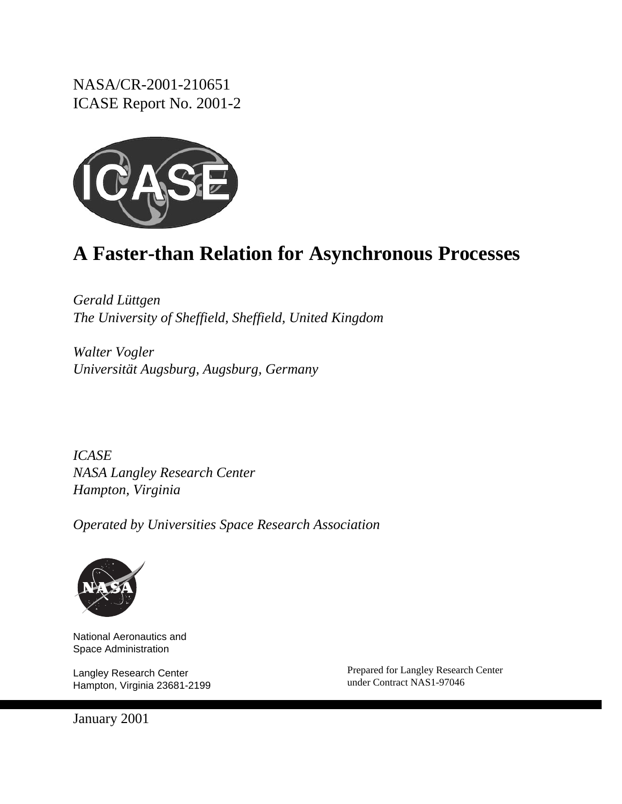NASA/CR-2001-210651 ICASE Report No. 2001-2



# **A Faster-than Relation for Asynchronous Processes**

*Gerald Lüttgen The University of Sheffield, Sheffield, United Kingdom*

*Walter Vogler Universität Augsburg, Augsburg, Germany*

*ICASE NASA Langley Research Center Hampton, Virginia*

*Operated by Universities Space Research Association*



National Aeronautics and Space Administration

Langley Research Center Hampton, Virginia 23681-2199 Prepared for Langley Research Center under Contract NAS1-97046

January 2001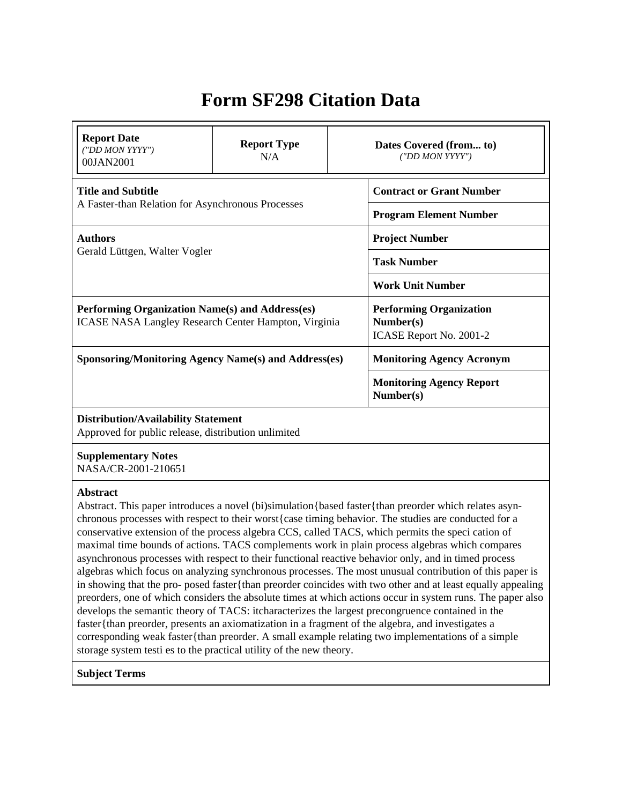## **Form SF298 Citation Data**

| <b>Report Date</b><br>("DD MON YYYY")<br>00JAN2001                                                                                                                                          | <b>Report Type</b><br>N/A | Dates Covered (from to)<br>("DD MON YYYY")                                                                                                                                                                                                                                                                                                                                                                                                                                                                                                                                                                                                                                                                                                                                                                                                                                                                                                                                                                                                                                        |
|---------------------------------------------------------------------------------------------------------------------------------------------------------------------------------------------|---------------------------|-----------------------------------------------------------------------------------------------------------------------------------------------------------------------------------------------------------------------------------------------------------------------------------------------------------------------------------------------------------------------------------------------------------------------------------------------------------------------------------------------------------------------------------------------------------------------------------------------------------------------------------------------------------------------------------------------------------------------------------------------------------------------------------------------------------------------------------------------------------------------------------------------------------------------------------------------------------------------------------------------------------------------------------------------------------------------------------|
| <b>Title and Subtitle</b>                                                                                                                                                                   |                           | <b>Contract or Grant Number</b>                                                                                                                                                                                                                                                                                                                                                                                                                                                                                                                                                                                                                                                                                                                                                                                                                                                                                                                                                                                                                                                   |
| A Faster-than Relation for Asynchronous Processes                                                                                                                                           |                           | <b>Program Element Number</b>                                                                                                                                                                                                                                                                                                                                                                                                                                                                                                                                                                                                                                                                                                                                                                                                                                                                                                                                                                                                                                                     |
| <b>Authors</b>                                                                                                                                                                              |                           | <b>Project Number</b>                                                                                                                                                                                                                                                                                                                                                                                                                                                                                                                                                                                                                                                                                                                                                                                                                                                                                                                                                                                                                                                             |
| Gerald Lüttgen, Walter Vogler                                                                                                                                                               |                           | <b>Task Number</b>                                                                                                                                                                                                                                                                                                                                                                                                                                                                                                                                                                                                                                                                                                                                                                                                                                                                                                                                                                                                                                                                |
|                                                                                                                                                                                             |                           | <b>Work Unit Number</b>                                                                                                                                                                                                                                                                                                                                                                                                                                                                                                                                                                                                                                                                                                                                                                                                                                                                                                                                                                                                                                                           |
| Performing Organization Name(s) and Address(es)<br><b>ICASE NASA Langley Research Center Hampton, Virginia</b>                                                                              |                           | <b>Performing Organization</b><br>Number(s)<br>ICASE Report No. 2001-2                                                                                                                                                                                                                                                                                                                                                                                                                                                                                                                                                                                                                                                                                                                                                                                                                                                                                                                                                                                                            |
| <b>Sponsoring/Monitoring Agency Name(s) and Address(es)</b>                                                                                                                                 |                           | <b>Monitoring Agency Acronym</b>                                                                                                                                                                                                                                                                                                                                                                                                                                                                                                                                                                                                                                                                                                                                                                                                                                                                                                                                                                                                                                                  |
|                                                                                                                                                                                             |                           | <b>Monitoring Agency Report</b><br>Number(s)                                                                                                                                                                                                                                                                                                                                                                                                                                                                                                                                                                                                                                                                                                                                                                                                                                                                                                                                                                                                                                      |
| <b>Distribution/Availability Statement</b><br>Approved for public release, distribution unlimited                                                                                           |                           |                                                                                                                                                                                                                                                                                                                                                                                                                                                                                                                                                                                                                                                                                                                                                                                                                                                                                                                                                                                                                                                                                   |
| <b>Supplementary Notes</b><br>NASA/CR-2001-210651                                                                                                                                           |                           |                                                                                                                                                                                                                                                                                                                                                                                                                                                                                                                                                                                                                                                                                                                                                                                                                                                                                                                                                                                                                                                                                   |
| <b>Abstract</b><br>faster{than preorder, presents an axiomatization in a fragment of the algebra, and investigates a<br>storage system testi es to the practical utility of the new theory. |                           | Abstract. This paper introduces a novel (bi)simulation {based faster {than preorder which relates asyn-<br>chronous processes with respect to their worst { case timing behavior. The studies are conducted for a<br>conservative extension of the process algebra CCS, called TACS, which permits the speci cation of<br>maximal time bounds of actions. TACS complements work in plain process algebras which compares<br>asynchronous processes with respect to their functional reactive behavior only, and in timed process<br>algebras which focus on analyzing synchronous processes. The most unusual contribution of this paper is<br>in showing that the pro- posed faster{than preorder coincides with two other and at least equally appealing<br>preorders, one of which considers the absolute times at which actions occur in system runs. The paper also<br>develops the semantic theory of TACS: itcharacterizes the largest precongruence contained in the<br>corresponding weak faster{than preorder. A small example relating two implementations of a simple |

### **Subject Terms**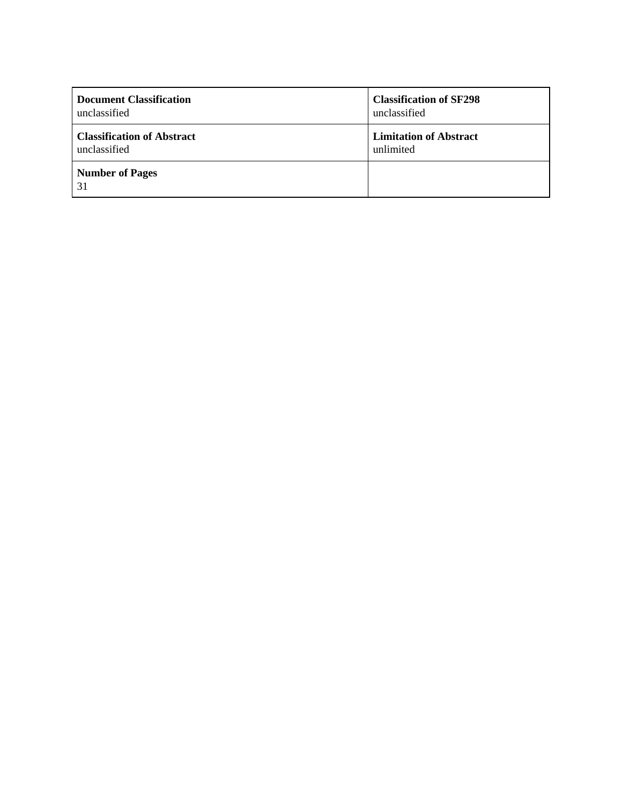| <b>Document Classification</b>    | <b>Classification of SF298</b> |
|-----------------------------------|--------------------------------|
| unclassified                      | unclassified                   |
| <b>Classification of Abstract</b> | <b>Limitation of Abstract</b>  |
| unclassified                      | unlimited                      |
| <b>Number of Pages</b><br>31      |                                |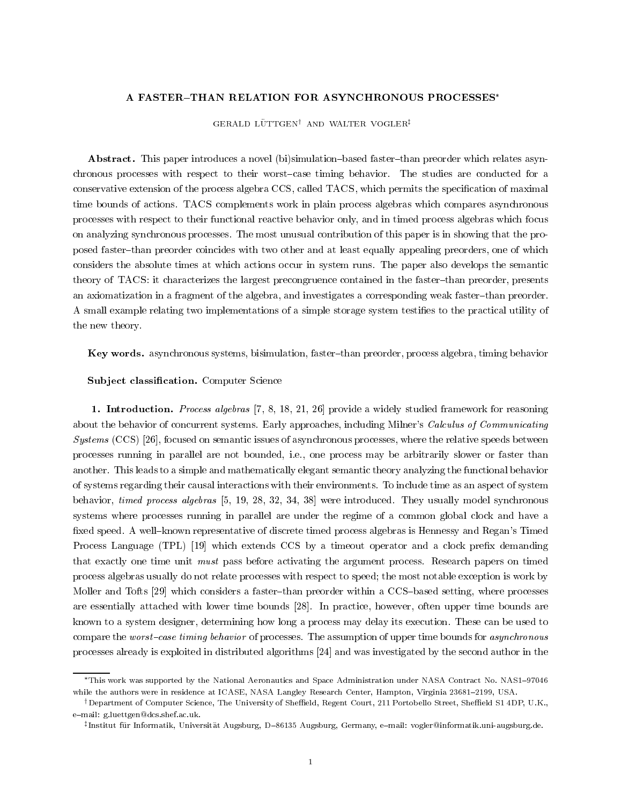#### A FASTER-THAN RELATION FOR ASYNCHRONOUS PROCESSES\*

GERALD LÜTTGEN<sup>†</sup> AND WALTER VOGLER<sup>‡</sup>

Abstract. This paper introduces a novel (bi)simulation-based faster-than preorder which relates asynchronous processes with respect to their worst-case timing behavior. The studies are conducted for a conservative extension of the process algebra CCS, called TACS, which permits the specification of maximal time bounds of actions. TACS complements work in plain process algebras which compares asynchronous processes with respect to their functional reactive behavior only, and in timed process algebras which focus on analyzing synchronous processes. The most unusual contribution of this paper is in showing that the proposed faster-than preorder coincides with two other and at least equally appealing preorders, one of which considers the absolute times at which actions occur in system runs. The paper also develops the semantic theory of TACS: it characterizes the largest precongruence contained in the faster-than preorder, presents an axiomatization in a fragment of the algebra, and investigates a corresponding weak faster-than preorder. A small example relating two implementations of a simple storage system testies to the practical utility of the new theory.

Key words. asynchronous systems, bisimulation, faster-than preorder, process algebra, timing behavior

#### Subject classification. Computer Science

1. Introduction. *Process algebras* [7, 8, 18, 21, 26] provide a widely studied framework for reasoning about the behavior of concurrent systems. Early approaches, including Milner's Calculus of Communicating Systems (CCS) [26], focused on semantic issues of asynchronous processes, where the relative speeds between processes running in parallel are not bounded, i.e., one process may be arbitrarily slower or faster than another. This leads to a simple and mathematically elegant semantic theory analyzing the functional behavior of systems regarding their causal interactions with their environments. To include time as an aspect of system behavior, timed process algebras [5, 19, 28, 32, 34, 38] were introduced. They usually model synchronous systems where processes running in parallel are under the regime of a common global clock and have a fixed speed. A well-known representative of discrete timed process algebras is Hennessy and Regan's Timed Process Language (TPL) [19] which extends CCS by a timeout operator and a clock prefix demanding that exactly one time unit must pass before activating the argument process. Research papers on timed process algebras usually do not relate processes with respect to speed; the most notable exception is work by Moller and Tofts [29] which considers a faster-than preorder within a CCS-based setting, where processes are essentially attached with lower time bounds [28]. In practice, however, often upper time bounds are known to a system designer, determining how long a process may delay its execution. These can be used to compare the worst-case timing behavior of processes. The assumption of upper time bounds for asynchronous processes already is exploited in distributed algorithms [24] and was investigated by the second author in the

<sup>\*</sup>This work was supported by the National Aeronautics and Space Administration under NASA Contract No. NAS1-97046 while the authors were in residence at ICASE, NASA Langley Research Center, Hampton, Virginia 23681-2199, USA.

<sup>&</sup>lt;sup>†</sup> Department of Computer Science, The University of Sheffield, Regent Court, 211 Portobello Street, Sheffield S1 4DP, U.K., e{mail: g.luettgen@dcs.shef.ac.uk.

<sup>z</sup> Institut fur Informatik, Universitat Augsburg, D{86135 Augsburg, Germany, e{mail: vogler@informatik.uni-augsburg.de.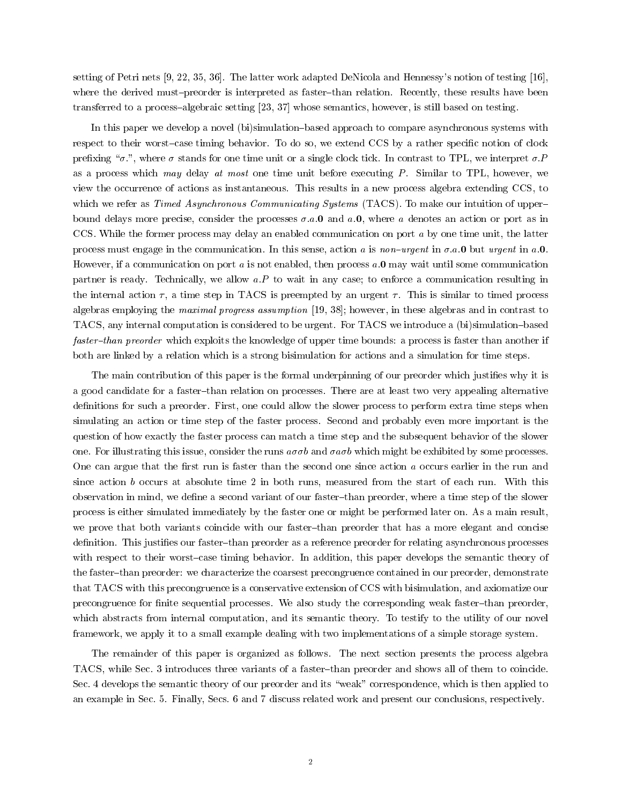setting of Petri nets [9, 22, 35, 36]. The latter work adapted DeNicola and Hennessy's notion of testing [16], where the derived must-preorder is interpreted as faster-than relation. Recently, these results have been transferred to a process-algebraic setting [23, 37] whose semantics, however, is still based on testing.

In this paper we develop a novel (bi)simulation-based approach to compare asynchronous systems with respect to their worst-case timing behavior. To do so, we extend CCS by a rather specific notion of clock prefixing " $\sigma$ .", where  $\sigma$  stands for one time unit or a single clock tick. In contrast to TPL, we interpret  $\sigma$ . as a process which may delay at most one time unit before executing  $P$ . Similar to TPL, however, we view the occurrence of actions as instantaneous. This results in a new process algebra extending CCS, to which we refer as *Timed Asynchronous Communicating Systems* (TACS). To make our intuition of upperbound delays more precise, consider the processes  $\sigma.a.0$  and  $a.0$ , where a denotes an action or port as in CCS. While the former process may delay an enabled communication on port <sup>a</sup> by one time unit, the latter process must engage in the communication. In this sense, action a is non-urgent in  $\sigma.a.0$  but urgent in a.0. However, if a communication on port  $a$  is not enabled, then process  $a.\mathbf{0}$  may wait until some communication partner is ready. Technically, we allow  $a.P$  to wait in any case; to enforce a communication resulting in the internal action  $\tau$ , a time step in TACS is preempted by an urgent  $\tau$ . This is similar to timed process algebras employing the maximal progress assumption [19, 38]; however, in these algebras and in contrast to TACS, any internal computation is considered to be urgent. For TACS we introduce a (bi)simulation{based faster-than preorder which exploits the knowledge of upper time bounds: a process is faster than another if both are linked by a relation which is a strong bisimulation for actions and a simulation for time steps.

The main contribution of this paper is the formal underpinning of our preorder which justifies why it is a good candidate for a faster-than relation on processes. There are at least two very appealing alternative definitions for such a preorder. First, one could allow the slower process to perform extra time steps when simulating an action or time step of the faster process. Second and probably even more important is the question of how exactly the faster process can match a time step and the subsequent behavior of the slower one. For illustrating this issue, consider the runs  $a\sigma\sigma b$  and  $\sigma a\sigma b$  which might be exhibited by some processes. One can argue that the first run is faster than the second one since action  $a$  occurs earlier in the run and since action b occurs at absolute time 2 in both runs, measured from the start of each run. With this observation in mind, we define a second variant of our faster-than preorder, where a time step of the slower process is either simulated immediately by the faster one or might be performed later on. As a main result, we prove that both variants coincide with our faster-than preorder that has a more elegant and concise definition. This justifies our faster-than preorder as a reference preorder for relating asynchronous processes with respect to their worst-case timing behavior. In addition, this paper develops the semantic theory of the faster-than preorder: we characterize the coarsest precongruence contained in our preorder, demonstrate that TACS with this precongruence is a conservative extension of CCS with bisimulation, and axiomatize our precongruence for finite sequential processes. We also study the corresponding weak faster-than preorder, which abstracts from internal computation, and its semantic theory. To testify to the utility of our novel framework, we apply it to a small example dealing with two implementations of a simple storage system.

The remainder of this paper is organized as follows. The next section presents the process algebra TACS, while Sec. 3 introduces three variants of a faster-than preorder and shows all of them to coincide. Sec. 4 develops the semantic theory of our preorder and its "weak" correspondence, which is then applied to an example in Sec. 5. Finally, Secs. 6 and 7 discuss related work and present our conclusions, respectively.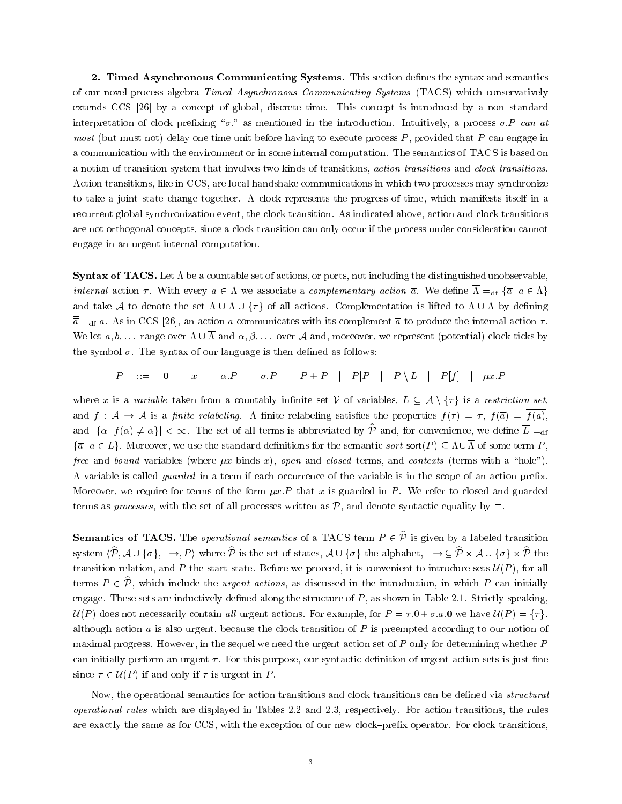2. Timed Asynchronous Communicating Systems. This section defines the syntax and semantics of our novel process algebra Timed Asynchronous Communicating Systems (TACS) which conservatively extends CCS [26] by a concept of global, discrete time. This concept is introduced by a non-standard interpretation of clock prefixing " $\sigma$ ." as mentioned in the introduction. Intuitively, a process  $\sigma.P$  can at *most* (but must not) delay one time unit before having to execute process  $P$ , provided that  $P$  can engage in a communication with the environment or in some internal computation. The semantics of TACS is based on a notion of transition system that involves two kinds of transitions, action transitions and clock transitions. Action transitions, like in CCS, are local handshake communications in which two processes may synchronize to take a joint state change together. A clock represents the progress of time, which manifests itself in a recurrent global synchronization event, the clock transition. As indicated above, action and clock transitions are not orthogonal concepts, since a clock transition can only occur if the process under consideration cannot engage in an urgent internal computation.

**Syntax of TACS.** Let  $\Lambda$  be a countable set of actions, or ports, not including the distinguished unobservable, internal action  $\tau$ . With every  $a \in \Lambda$  we associate a *complementary action*  $\overline{a}$ . We define  $\overline{\Lambda} =_{df} {\overline{a} | a \in \Lambda}$ and take A to denote the set  $\Lambda \cup \overline{\Lambda} \cup \{\tau\}$  of all actions. Complementation is lifted to  $\Lambda \cup \overline{\Lambda}$  by defining  $\overline{\overline{a}} =_{df} a$ . As in CCS [26], an action a communicates with its complement  $\overline{a}$  to produce the internal action  $\tau$ . We let  $a, b, \ldots$  range over  $\Lambda \cup \overline{\Lambda}$  and  $\alpha, \beta, \ldots$  over A and, moreover, we represent (potential) clock ticks by the symbol  $\sigma$ . The syntax of our language is then defined as follows:

 $P$  ::= 0 | x |  $\alpha.P$  |  $\sigma.P$  |  $P+P$  |  $P|P$  |  $P \setminus L$  |  $P[f]$  |  $\mu x.P$ 

where x is a variable taken from a countably infinite set V of variables,  $L \subseteq A \setminus \{\tau\}$  is a restriction set, and  $f: \mathcal{A} \to \mathcal{A}$  is a finite relabeling. A finite relabeling satisfies the properties  $f(\tau) = \tau$ ,  $f(\overline{a}) = \overline{f(a)}$ , and  $|\{\alpha | f(\alpha) \neq \alpha\}| < \infty$ . The set of all terms is abbreviated by  $\hat{\mathcal{P}}$  and, for convenience, we define  $\overline{\mathcal{L}} =_{df}$  $\{\overline{a} \mid a \in L\}$ . Moreover, we use the standard definitions for the semantic sort sort(P)  $\subseteq \Lambda \cup \overline{\Lambda}$  of some term P, free and bound variables (where  $\mu x$  binds x), open and closed terms, and contexts (terms with a "hole"). A variable is called guarded in a term if each occurrence of the variable is in the scope of an action prex. Moreover, we require for terms of the form  $\mu x.P$  that x is guarded in P. We refer to closed and guarded terms as *processes*, with the set of all processes written as  $\mathcal{P}$ , and denote syntactic equality by  $\equiv$ .

**Semantics of TACS.** The *operational semantics* of a TACS term  $P \in \hat{P}$  is given by a labeled transition system  $\{P, A \cup \{Q\}\}$ ,  $\rightarrow$ , I  $\}$  where P is the set of states, A  $\cup$   $\{Q\}$  the alphabet,  $\rightarrow$   $\rightarrow$   $\subseteq$  P  $\land$  A  $\cup$   $\{Q\}$  $\land$  F the transition relation, and P the start state. Before we proceed, it is convenient to introduce sets  $\mathcal{U}(P)$ , for all terms  $P \in \hat{\mathcal{P}}$ , which include the *urgent actions*, as discussed in the introduction, in which P can initially engage. These sets are inductively defined along the structure of  $P$ , as shown in Table 2.1. Strictly speaking,  $U(P)$  does not necessarily contain all urgent actions. For example, for  $P = \tau \cdot 0 + \sigma \cdot a \cdot 0$  we have  $U(P) = \{\tau\}$ , although action  $a$  is also urgent, because the clock transition of  $P$  is preempted according to our notion of maximal progress. However, in the sequel we need the urgent action set of  $P$  only for determining whether  $P$ can initially perform an urgent  $\tau$ . For this purpose, our syntactic definition of urgent action sets is just fine since  $\tau \in \mathcal{U}(P)$  if and only if  $\tau$  is urgent in P.

Now, the operational semantics for action transitions and clock transitions can be defined via *structural* operational rules which are displayed in Tables 2.2 and 2.3, respectively. For action transitions, the rules are exactly the same as for CCS, with the exception of our new clock-prefix operator. For clock transitions,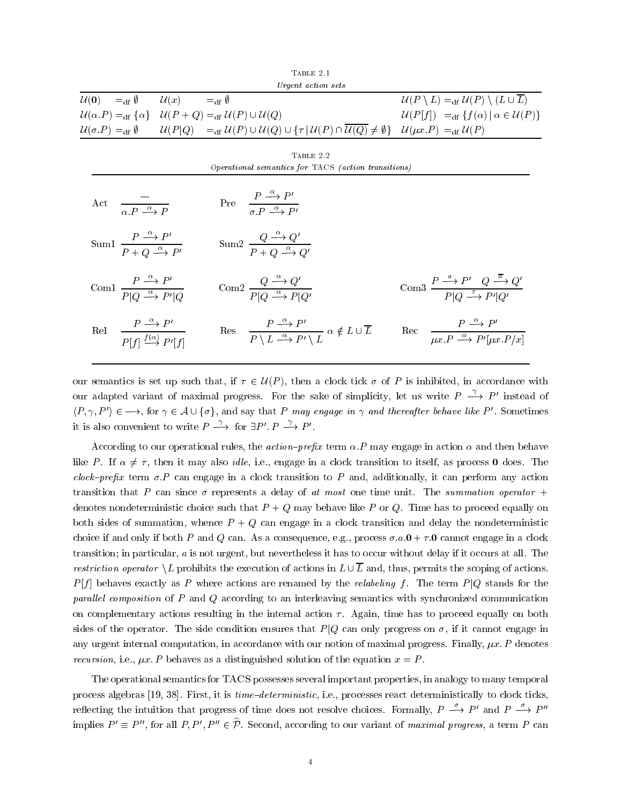|                                                                                                        |                                                                                                  | TABLE 2.1                                                                                                                                                                                                                                                                    |                                                                                                                                         |
|--------------------------------------------------------------------------------------------------------|--------------------------------------------------------------------------------------------------|------------------------------------------------------------------------------------------------------------------------------------------------------------------------------------------------------------------------------------------------------------------------------|-----------------------------------------------------------------------------------------------------------------------------------------|
|                                                                                                        |                                                                                                  | Urgent action sets                                                                                                                                                                                                                                                           |                                                                                                                                         |
| $\mathcal{U}(\mathbf{0}) =_{\mathrm{df}} \emptyset \qquad \mathcal{U}(x) =_{\mathrm{df}} \emptyset$    |                                                                                                  |                                                                                                                                                                                                                                                                              | $\mathcal{U}(P \setminus L) =_{\text{df}} \mathcal{U}(P) \setminus (L \cup \overline{L})$                                               |
| $\mathcal{U}(\alpha.P) =_{df} \{\alpha\}$ $\mathcal{U}(P+Q) =_{df} \mathcal{U}(P) \cup \mathcal{U}(Q)$ |                                                                                                  |                                                                                                                                                                                                                                                                              | $\mathcal{U}(P[f]) =_{\text{df}} \{f(\alpha)   \alpha \in \mathcal{U}(P)\}\$                                                            |
|                                                                                                        |                                                                                                  | $\mathcal{U}(\sigma.P) =_{\mathrm{df}} \emptyset \qquad \mathcal{U}(P Q) =_{\mathrm{df}} \mathcal{U}(P) \cup \mathcal{U}(Q) \cup \{ \tau \,   \, \mathcal{U}(P) \cap \mathcal{U}(Q) \neq \emptyset \} \quad \mathcal{U}(\mu x.P) =_{\mathrm{df}} \mathcal{U}(P)$             |                                                                                                                                         |
|                                                                                                        |                                                                                                  | TABLE 2.2                                                                                                                                                                                                                                                                    |                                                                                                                                         |
|                                                                                                        |                                                                                                  | Operational semantics for TACS (action transitions)                                                                                                                                                                                                                          |                                                                                                                                         |
| $\overline{\alpha.P \stackrel{\alpha}{\longrightarrow} P}$<br>Act                                      |                                                                                                  | Pre $\frac{P \stackrel{\sim}{\longrightarrow} P'}{\sigma P \stackrel{\alpha}{\longrightarrow} P'}$                                                                                                                                                                           |                                                                                                                                         |
| Sum $\frac{P \stackrel{\alpha}{\longrightarrow} P'}{P + Q \stackrel{\alpha}{\longrightarrow} P'}$      |                                                                                                  | Sum $2 \frac{Q \stackrel{\sim}{\longrightarrow} Q'}{P+Q \stackrel{\alpha}{\longrightarrow} Q'}$                                                                                                                                                                              |                                                                                                                                         |
| Com1 $\frac{P \stackrel{\alpha}{\longrightarrow} P'}{P Q \stackrel{\alpha}{\longrightarrow} P' Q}$     |                                                                                                  | Com2 $\frac{Q \stackrel{\sim}{\longrightarrow} Q'}{P Q \stackrel{\alpha}{\longrightarrow} P Q'}$                                                                                                                                                                             | Com3 $\frac{P \stackrel{\sim}{\longrightarrow} P' \ Q \stackrel{\sim}{\longrightarrow} Q'}{P Q \stackrel{\tau}{\longrightarrow} P' Q'}$ |
| Rel                                                                                                    | $\frac{P \stackrel{\sim}{\longrightarrow} P'}{P[f] \stackrel{f(\alpha)}{\longrightarrow} P'[f]}$ | Res $\frac{P \stackrel{\alpha}{\longrightarrow} P'}{P \setminus L \stackrel{\alpha}{\longrightarrow} P' \setminus L} \alpha \notin L \cup \overline{L}$ Rec $\frac{P \stackrel{\alpha}{\longrightarrow} P'}{ux \cdot P \stackrel{\alpha}{\longrightarrow} P'[ux \cdot P/x]}$ |                                                                                                                                         |

our semantics is set up such that, if  $\tau \in \mathcal{U}(P)$ , then a clock tick  $\sigma$  of P is inhibited, in accordance with our adapted variant of maximal progress. For the sake of simplicity, let us write  $P \rightarrow P'$  instead of  $\langle P, \gamma, P' \rangle \in \longrightarrow$ , for  $\gamma \in A \cup \{\sigma\}$ , and say that P may engage in  $\gamma$  and thereafter behave like P'. Sometimes it is also convenient to write  $P \longrightarrow$  for  $\exists P'. P \longrightarrow P'.$ 

According to our operational rules, the *action-prefix* term  $\alpha$ . P may engage in action  $\alpha$  and then behave like P. If  $\alpha \neq \tau$ , then it may also *idle*, i.e., engage in a clock transition to itself, as process 0 does. The clock-prefix term  $\sigma.P$  can engage in a clock transition to P and, additionally, it can perform any action transition that P can since  $\sigma$  represents a delay of at most one time unit. The summation operator + denotes nondeterministic choice such that  $P + Q$  may behave like P or Q. Time has to proceed equally on both sides of summation, whence  $P + Q$  can engage in a clock transition and delay the nondeterministic choice if and only if both P and Q can. As a consequence, e.g., process  $\sigma.a.0 + \tau.0$  cannot engage in a clock transition; in particular,  $a$  is not urgent, but nevertheless it has to occur without delay if it occurs at all. The restriction operator  $\setminus L$  prohibits the execution of actions in  $L \cup \overline{L}$  and, thus, permits the scoping of actions.  $P[f]$  behaves exactly as P where actions are renamed by the *relabeling* f. The term  $P[Q]$  stands for the parallel composition of  $P$  and  $Q$  according to an interleaving semantics with synchronized communication on complementary actions resulting in the internal action  $\tau$ . Again, time has to proceed equally on both sides of the operator. The side condition ensures that  $P|Q$  can only progress on  $\sigma$ , if it cannot engage in any urgent internal computation, in accordance with our notion of maximal progress. Finally,  $\mu x$ . P denotes recursion, i.e.,  $\mu x \cdot P$  behaves as a distinguished solution of the equation  $x = P$ .

The operational semantics for TACS possesses several important properties, in analogy to many temporal process algebras [19, 38]. First, it is *time-deterministic*, i.e., processes react deterministically to clock ticks, reflecting the intuition that progress of time does not resolve choices. Formally,  $P \xrightarrow{\sigma} P'$  and  $P \xrightarrow{\rho} P''$ implies  $P' \equiv P''$ , for all P, P',  $P'' \in \hat{\mathcal{P}}$ . Second, according to our variant of maximal progress, a term P can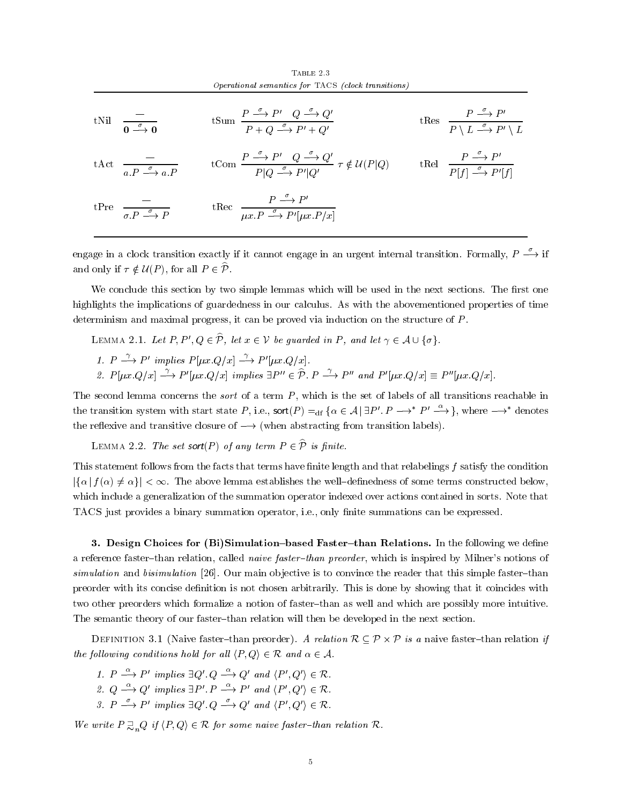|                                                                     | TABLE 2.3<br>Operational semantics for TACS (clock transitions)                                                                                                                                                                    |                                                                                                                        |
|---------------------------------------------------------------------|------------------------------------------------------------------------------------------------------------------------------------------------------------------------------------------------------------------------------------|------------------------------------------------------------------------------------------------------------------------|
| tNil $\frac{\sigma}{\sigma}$ 0                                      | tSum $\frac{P \stackrel{\sigma}{\longrightarrow} P' \quad Q \stackrel{\sigma}{\longrightarrow} Q'}{P+Q \stackrel{\sigma}{\longrightarrow} P'+Q'}$                                                                                  | tRes $\frac{P \stackrel{\sigma}{\longrightarrow} P'}{P \setminus L \stackrel{\sigma}{\longrightarrow} P' \setminus L}$ |
| t Act $\frac{a}{a} P \stackrel{\sigma}{\longrightarrow} a P$        | $\text{tCom } \frac{P \xrightarrow{\sigma} P' \quad Q \xrightarrow{\sigma} Q'}{P Q \xrightarrow{\sigma} P' Q'} \tau \notin \mathcal{U}(P Q) \qquad \text{tRel } \frac{P \xrightarrow{\sigma} P'}{P[f] \xrightarrow{\sigma} P'[f]}$ |                                                                                                                        |
| tPre $\frac{\sigma}{\sigma P \stackrel{\sigma}{\longrightarrow} P}$ | tRec $\frac{P \stackrel{\sigma}{\longrightarrow} P'}{\mu x.P \stackrel{\sigma}{\longrightarrow} P'[\mu x.P/x]}$                                                                                                                    |                                                                                                                        |

engage in a clock transition exactly if it cannot engage in an urgent internal transition. Formally,  $P \rightarrow$  if and only if  $\tau \notin \mathcal{U}(P)$ , for all  $P \in \widehat{\mathcal{P}}$ .

We conclude this section by two simple lemmas which will be used in the next sections. The first one highlights the implications of guardedness in our calculus. As with the abovementioned properties of time determinism and maximal progress, it can be proved via induction on the structure of P.

LEMMA 2.1. Let  $P, P', Q \in \hat{\mathcal{P}}$ , let  $x \in \mathcal{V}$  be guarded in P, and let  $\gamma \in \mathcal{A} \cup \{\sigma\}.$ 

- 1.  $P \longrightarrow P'$  implies  $P[\mu x \cdot Q/x] \longrightarrow P'[\mu x \cdot Q/x]$ .
- 2.  $P[ux \cdot Q/x] \stackrel{\gamma}{\longrightarrow} P'[ux \cdot Q/x]$  implies  $\exists P'' \in \hat{\mathcal{P}}$ .  $P \stackrel{\gamma}{\longrightarrow} P''$  and  $P'[ux \cdot Q/x] \equiv P''[ux \cdot Q/x]$ .

The second lemma concerns the *sort* of a term  $P$ , which is the set of labels of all transitions reachable in the transition system with start state P, i.e.,  $\text{sort}(P) =_{df} {\alpha \in A | \exists P'. P \longrightarrow^* P' \stackrel{\alpha}{\longrightarrow} }$ , where  $\longrightarrow^*$  denotes the reflexive and transitive closure of  $\longrightarrow$  (when abstracting from transition labels).

LEMMA 2.2. The set sort(P) of any term  $P \in \hat{\mathcal{P}}$  is finite.

This statement follows from the facts that terms have finite length and that relabelings  $f$  satisfy the condition  $|\{\alpha | f(\alpha) \neq \alpha\}| < \infty$ . The above lemma establishes the well-definedness of some terms constructed below. which include a generalization of the summation operator indexed over actions contained in sorts. Note that TACS just provides a binary summation operator, i.e., only finite summations can be expressed.

3. Design Choices for (Bi)Simulation–based Faster–than Relations. In the following we define a reference faster-than relation, called naive faster-than preorder, which is inspired by Milner's notions of simulation and bisimulation [26]. Our main objective is to convince the reader that this simple faster-than preorder with its concise denition is not chosen arbitrarily. This is done by showing that it coincides with two other preorders which formalize a notion of faster-than as well and which are possibly more intuitive. The semantic theory of our faster-than relation will then be developed in the next section.

Definition 3.1 (Naive faster{than preorder). A relation RP-<sup>P</sup> is a naive faster{than relation if the following conditions hold for all  $\langle P, Q \rangle \in \mathcal{R}$  and  $\alpha \in \mathcal{A}$ .

1.  $P \longrightarrow P'$  implies  $\exists Q' \ Q \longrightarrow Q'$  and  $\langle P', Q' \rangle \in \mathcal{R}$ .

- 2.  $Q \stackrel{\alpha}{\longrightarrow} Q'$  implies  $\exists P'$   $P \stackrel{\alpha}{\longrightarrow} P'$  and  $\langle P', Q' \rangle \in \mathcal{R}$ .
- 3.  $P \longrightarrow P'$  implies  $\exists Q' \ Q \longrightarrow Q'$  and  $\langle P', Q' \rangle \in \mathcal{R}$ .

We write  $P \supseteq_{n} Q$  if  $\langle P, Q \rangle \in \mathcal{R}$  for some naive faster-than relation  $\mathcal{R}$ .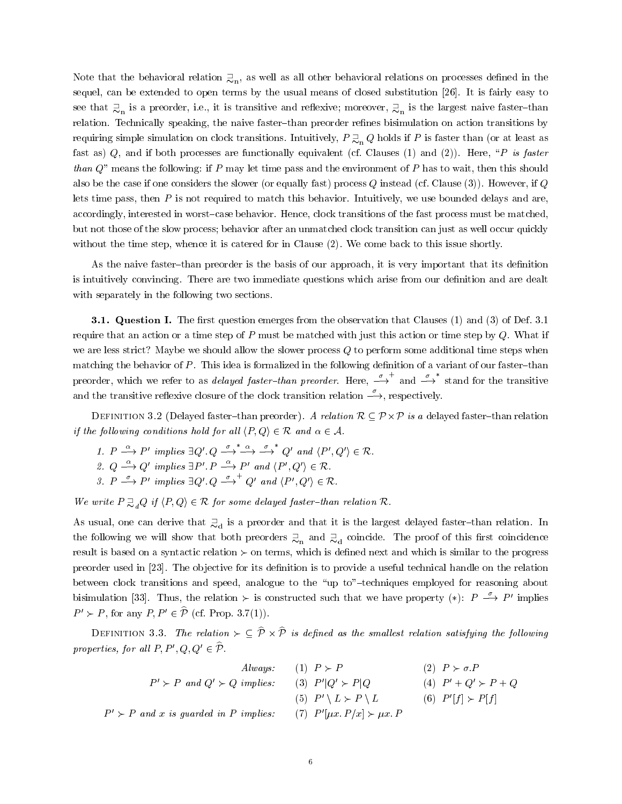Note that the behavioral relation  $\gtrsim_n$ , as well as all other behavioral relations on processes defined in the sequel, can be extended to open terms by the usual means of closed substitution [26]. It is fairly easy to see that  $\gtrsim_n$  is a preorder, i.e., it is transitive and reflexive; moreover,  $\gtrsim_n$  is the largest naive faster-than relation. Technically speaking, the naive faster-than preorder refines bisimulation on action transitions by requiring simple simulation on clock transitions. Intuitively,  $P \supsetneq_n Q$  holds if P is faster than (or at least as fast as)  $Q$ , and if both processes are functionally equivalent (cf. Clauses (1) and (2)). Here, "P is faster than  $Q$ " means the following: if P may let time pass and the environment of P has to wait, then this should also be the case if one considers the slower (or equally fast) process  $Q$  instead (cf. Clause (3)). However, if  $Q$ lets time pass, then  $P$  is not required to match this behavior. Intuitively, we use bounded delays and are. accordingly, interested in worst-case behavior. Hence, clock transitions of the fast process must be matched, but not those of the slow process; behavior after an unmatched clock transition can just as well occur quickly without the time step, whence it is catered for in Clause (2). We come back to this issue shortly.

As the naive faster-than preorder is the basis of our approach, it is very important that its definition is intuitively convincing. There are two immediate questions which arise from our definition and are dealt with separately in the following two sections.

**3.1. Question I.** The first question emerges from the observation that Clauses (1) and (3) of Def. 3.1 require that an action or a time step of  $P$  must be matched with just this action or time step by  $Q$ . What if we are less strict? Maybe we should allow the slower process  $Q$  to perform some additional time steps when matching the behavior of  $P$ . This idea is formalized in the following definition of a variant of our faster-than preorder, which we refer to as *delayed faster-than preorder*. Here,  $\stackrel{\sigma}{\longrightarrow}^+$  and  $\stackrel{\sigma}{\longrightarrow}^*$  stand for the transitive and the transitive reflexive closure of the clock transition relation  $\stackrel{\sigma}{\longrightarrow}$ , respectively.

Definition 3.2 (Delayed faster{than preorder). A relation R P-<sup>P</sup> is a delayed faster{than relation if the following conditions hold for all  $\langle P, Q \rangle \in \mathcal{R}$  and  $\alpha \in \mathcal{A}$ .

- 1.  $P \stackrel{\alpha}{\longrightarrow} P'$  implies  $\exists Q' \ Q \stackrel{\sigma}{\longrightarrow}^* \stackrel{\alpha}{\longrightarrow} \stackrel{\sigma}{\longrightarrow}^* Q'$  and  $\langle P', Q' \rangle \in \mathcal{R}$ .
- 2.  $Q \stackrel{\alpha}{\longrightarrow} Q'$  implies  $\exists P'. P \stackrel{\alpha}{\longrightarrow} P'$  and  $\langle P', Q' \rangle \in \mathcal{R}$ .
- 3.  $P \stackrel{\circ}{\longrightarrow} P'$  implies  $\exists Q' \ Q \stackrel{\circ}{\longrightarrow} Q'$  and  $\langle P', Q' \rangle \in \mathcal{R}$ .

We write  $P \supseteq_{d} Q$  if  $\langle P, Q \rangle \in \mathcal{R}$  for some delayed faster-than relation  $\mathcal{R}$ .

As usual, one can derive that  $\supseteq_d$  is a preorder and that it is the largest delayed faster-than relation. In the following we will show that both preorders  $\gtrsim_n$  and  $\gtrsim_d$  coincide. The proof of this first coincidence result is based on a syntactic relation  $\succ$  on terms, which is defined next and which is similar to the progress preorder used in [23]. The objective for its definition is to provide a useful technical handle on the relation between clock transitions and speed, analogue to the "up to"-techniques employed for reasoning about bisimulation [33]. Thus, the relation  $\geq$  is constructed such that we have property  $(*)\colon P \stackrel{\circ}{\longrightarrow} P'$  implies  $P' \succ P$ , for any  $P, P' \in \widehat{P}$  (cf. Prop. 3.7(1)).

Definition  $\sigma, \sigma$ . The relation  $\tau \subset r$   $\wedge$   $r$  is actinea as the smallest relation satisfying the following properties, for all  $P, P', Q, Q' \in \widehat{P}$ 

| Always:                                     | (1) $P \succ P$                 | (2) $P \succ \sigma.P$    |
|---------------------------------------------|---------------------------------|---------------------------|
| $P' \succ P$ and $Q' \succ Q$ implies:      | (3) $P' Q' \succ P Q$           | (4) $P' + Q' \succ P + Q$ |
| (5) $P' \setminus L \succ P \setminus L$    | (6) $P'[f] \succ P[f]$          |                           |
| $P' \succ P$ and x is guarded in P implies: | (7) $P'[ux, P/x] \succ \mu x.P$ |                           |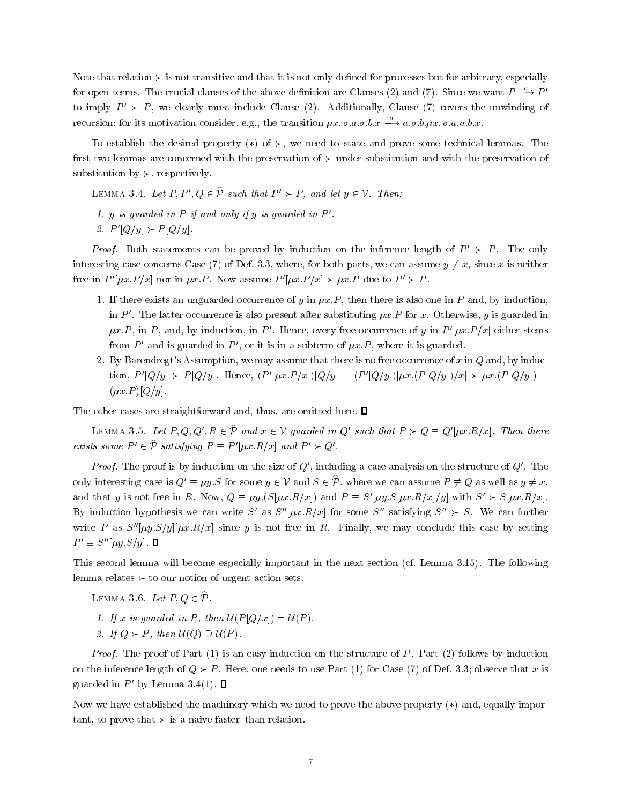Note that relation  $\succ$  is not transitive and that it is not only defined for processes but for arbitrary, especially for open terms. The crucial clauses of the above definition are Clauses (2) and (7). Since we want  $P \stackrel{\circ}{\longrightarrow} P'$ to imply  $P' \succ P$ , we clearly must include Clause (2). Additionally, Clause (7) covers the unwinding of recursion; for its motivation consider, e.g., the transition  $\mu x$ .  $\sigma.a.\sigma.b.x \xrightarrow{\sigma} a.\sigma.b.\mu x.\sigma.a.\sigma.b.x$ .

To establish the desired property (\*) of  $\succ$ , we need to state and prove some technical lemmas. The first two lemmas are concerned with the preservation of  $\succ$  under substitution and with the preservation of substitution by  $\succ$ , respectively.

LEMMA 3.4. Let  $P, P', Q \in \widehat{P}$  such that  $P' \succ P$ , and let  $y \in V$ . Then:

1. y is guarded in  $P$  if and only if y is guarded in  $P'$ . 2.  $P'[Q/y] \succ P[Q/y].$ 

*Proof.* Both statements can be proved by induction on the inference length of  $P' \succ P$ . The only interesting case concerns Case (7) of Def. 3.3, where, for both parts, we can assume  $y \neq x$ , since x is neither free in  $P'[\mu x.P/x]$  nor in  $\mu x.P$ . Now assume  $P'[\mu x.P/x] \succ \mu x.P$  due to  $P' \succ P$ .

- 1. If there exists an unguarded occurrence of y in  $\mu x.P$ , then there is also one in P and, by induction, in P'. The latter occurrence is also present after substituting  $\mu x.P$  for x. Otherwise, y is guarded in  $\mu x.P$ , in P, and, by induction, in P'. Hence, every free occurrence of y in P' $[\mu x.P/x]$  either stems from P' and is guarded in P', or it is in a subterm of  $\mu x.P$ , where it is guarded.
- 2. By Barendregt's Assumption, we may assume that there is no free occurrence of  $x$  in  $Q$  and, by induction,  $P'[Q/y] \succ P[Q/y]$ . Hence,  $(P'[px.P/x])[Q/y] \equiv (P'[Q/y])[px.(P[Q/y])/x] \succ \mu x.(P[Q/y]) \equiv$  $(\mu x.P) [Q/y].$

The other cases are straightforward and, thus, are omitted here.  $\square$ 

LEMMA 3.5. Let P, Q, Q',  $R \in \hat{\mathcal{P}}$  and  $x \in \mathcal{V}$  guarded in Q' such that  $P \succ Q \equiv Q'[\mu x.R/x]$ . Then there exists some  $P' \in \hat{\mathcal{P}}$  satisfying  $P \equiv P'[\mu x.R/x]$  and  $P' \succ Q'$ .

*Proof.* The proof is by induction on the size of  $Q'$ , including a case analysis on the structure of  $Q'$ . The only interesting case is  $Q' \equiv \mu y.S$  for some  $y \in V$  and  $S \in \hat{\mathcal{P}}$ , where we can assume  $P \not\equiv Q$  as well as  $y \neq x$ , and that y is not free in R. Now,  $Q \equiv \mu y.(S[\mu x.R/x])$  and  $P \equiv S'[\mu y.S[\mu x.R/x]/y]$  with  $S' \succ S[\mu x.R/x]$ . By induction hypothesis we can write S' as  $S''[\mu x.R/x]$  for some S'' satisfying  $S'' > S$ . We can further write P as  $S''[\mu y.S/y][\mu x.R/x]$  since y is not free in R. Finally, we may conclude this case by setting  $P' \equiv S''[\mu y.S/y]$ . 0

This second lemma will become especially important in the next section (cf. Lemma 3.15). The following lemma relates  $\succ$  to our notion of urgent action sets.

LEMMA 3.6. Let  $P, Q \in \widehat{P}$ .

- 1. If x is guarded in P, then  $\mathcal{U}(P[Q/x]) = \mathcal{U}(P)$ .
- 2. If  $Q \succ P$ , then  $U(Q) \supset U(P)$ .

*Proof.* The proof of Part  $(1)$  is an easy induction on the structure of P. Part  $(2)$  follows by induction on the inference length of  $Q \succ P$ . Here, one needs to use Part (1) for Case (7) of Def. 3.3; observe that x is guarded in  $P'$  by Lemma 3.4(1).  $\Box$ 

Now we have established the machinery which we need to prove the above property  $(*)$  and, equally important, to prove that  $\succ$  is a naive faster-than relation.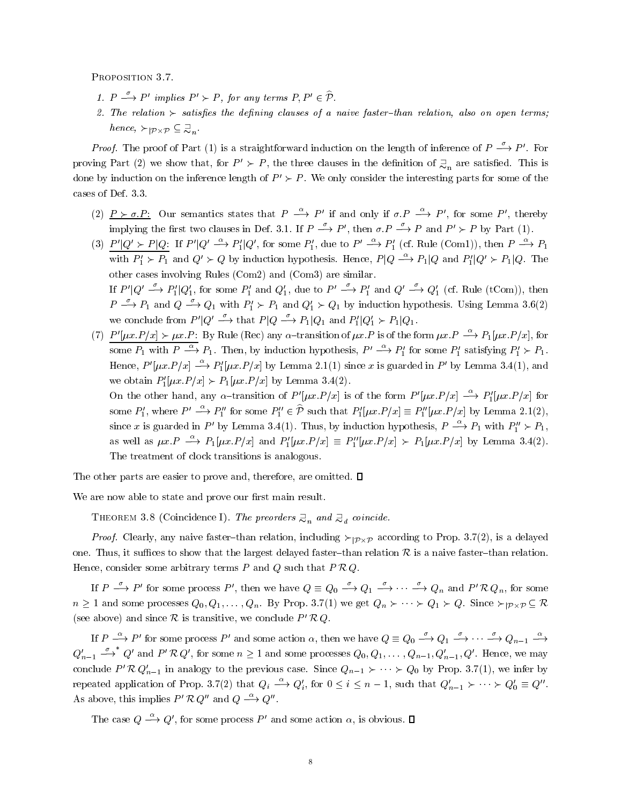PROPOSITION 3.7.

- 1.  $P \stackrel{\circ}{\longrightarrow} P'$  implies  $P' \succ P$ , for any terms  $P, P' \in \mathcal{P}$ .
- 2. The relation  $\succ$  satisfies the defining clauses of a naive faster-than relation, also on open terms; hence,  $\succ_{\mathcal{P}\times\mathcal{P}}\subseteq \mathcal{Z}_n$ .

*Proof.* The proof of Part (1) is a straightforward induction on the length of inference of  $P \xrightarrow{\rho} P'$ . For proving Part (2) we show that, for  $P' \succ P$ , the three clauses in the definition of  $\supsetneq_n$  are satisfied. This is done by induction on the inference length of  $P' \succ P$ . We only consider the interesting parts for some of the cases of Def. 3.3.

- (2)  $P > \sigma.P$ : Our semantics states that  $P \stackrel{\sim}{\longrightarrow} P'$  if and only if  $\sigma.P \stackrel{\sim}{\longrightarrow} P'$ , for some P', thereby implying the first two clauses in Def. 3.1. If  $P \xrightarrow{\sim} P'$ , then  $\sigma.P \xrightarrow{\sim} P$  and  $P' \succ P$  by Part (1).
- (3)  $P'|Q' \succ P|Q$ : If  $P'|Q' \stackrel{\alpha}{\longrightarrow} P'_1|Q'$ , for some  $P'_1$ , due to  $P' \stackrel{\alpha}{\longrightarrow} P'_1$  (cf. Rule (Com1)), then  $P \stackrel{\alpha}{\longrightarrow} P_1$ with  $P'_1 \succ P_1$  and  $Q' \succ Q$  by induction hypothesis. Hence,  $P | Q \stackrel{\alpha}{\longrightarrow} P_1 | Q$  and  $P'_1 | Q' \succ P_1 | Q$ . The other cases involving Rules (Com2) and (Com3) are similar. If  $P' \rvert Q' \stackrel{\sigma}{\longrightarrow} P'_1 \rvert Q'_1$ , for some  $P'_1$  and  $Q'_1$ , due to  $P' \stackrel{\sigma}{\longrightarrow} P'_1$  and  $Q' \stackrel{\sigma}{\longrightarrow} Q'_1$  (cf. Rule (tCom)), then  $P \stackrel{\sim}{\longrightarrow} P_1$  and  $Q \stackrel{\sim}{\longrightarrow} Q_1$  with  $P'_1 \succ P_1$  and  $Q'_1 \succ Q_1$  by induction hypothesis. Using Lemma 3.6(2) we conclude from  $P' | Q' \xrightarrow{\sigma}$  that  $P | Q \xrightarrow{\sigma} P_1 | Q_1$  and  $P'_1 | Q'_1 \succ P_1 | Q_1$ .
- (7)  $P'[\mu x.P/x] \succ \mu x.P$ : By Rule (Rec) any  $\alpha$ -transition of  $\mu x.P$  is of the form  $\mu x.P \xrightarrow{\alpha} P_1[\mu x.P/x]$ , for some  $P_1$  with  $P \stackrel{\alpha}{\longrightarrow} P_1$ . Then, by induction hypothesis,  $P' \stackrel{\alpha}{\longrightarrow} P_1'$  for some  $P_1'$  satisfying  $P_1' \succ P_1$ . Hence,  $P'[\mu x.P/x] \stackrel{\alpha}{\longrightarrow} P'_{1}[\mu x.P/x]$  by Lemma 2.1(1) since x is guarded in P' by Lemma 3.4(1), and we obtain  $P'_1[\mu x.P/x] \succ P_1[\mu x.P/x]$  by Lemma 3.4(2).

On the other hand, any  $\alpha$ -transition of P'[ $\mu x.P/x$ ] is of the form P'[ $\mu x.P/x$ ]  $\stackrel{\alpha}{\longrightarrow} P'_1[\mu x.P/x]$  for some  $P'_1$ , where  $P' \stackrel{\alpha}{\longrightarrow} P''_1$  for some  $P''_1 \in \hat{\mathcal{P}}$  such that  $P'_1[\mu x.P/x] \equiv P''_1[\mu x.P/x]$  by Lemma 2.1(2), since x is guarded in P' by Lemma 3.4(1). Thus, by induction hypothesis,  $P \stackrel{\alpha}{\longrightarrow} P_1$  with  $P_1'' \succ P_1$ , as well as  $\mu x \cdot P \stackrel{\alpha}{\longrightarrow} P_1[\mu x \cdot P/x]$  and  $P'_1[\mu x \cdot P/x] \equiv P''_1[\mu x \cdot P/x] \succ P_1[\mu x \cdot P/x]$  by Lemma 3.4(2). The treatment of clock transitions is analogous.

The other parts are easier to prove and, therefore, are omitted.  $\square$ 

We are now able to state and prove our first main result.

THEOREM 3.8 (Coincidence I). The preorders  $\supsetneq_n$  and  $\supsetneq_d$  coincide.

*Proof.* Clearly, any naive faster-than relation, including  $\succ$   $p_{\times}p$  according to Prop. 3.7(2), is a delayed one. Thus, it suffices to show that the largest delayed faster-than relation R is a naive faster-than relation. Hence, consider some arbitrary terms  $P$  and  $Q$  such that  $P \mathcal{R} Q$ .

If  $P \xrightarrow{\sigma} P'$  for some process P', then we have  $Q \equiv Q_0 \xrightarrow{\sigma} Q_1 \xrightarrow{\sigma} \cdots \xrightarrow{\sigma} Q_n$  and  $P' \mathcal{R} Q_n$ , for some  $n \geq 1$  and some processes  $Q_0, Q_1, \ldots, Q_n$ . By Prop. 3.7(1) we get  $Q_n \succ \cdots \succ Q_1 \succ Q$ . Since  $\succ | p_\chi p \subseteq \kappa$ (see above) and since  $R$  is transitive, we conclude  $P'RQ$ .

If  $P \stackrel{\alpha}{\longrightarrow} P'$  for some process P' and some action  $\alpha$ , then we have  $Q \equiv Q_0 \stackrel{\circ}{\longrightarrow} Q_1 \stackrel{\sim}{\longrightarrow} \cdots \stackrel{\sim}{\longrightarrow} Q_{n-1} \stackrel{\alpha}{\longrightarrow}$  $Q'_{n-1} \stackrel{\sigma}{\longrightarrow}^* Q'$  and  $P' \mathcal{R} Q'$ , for some  $n \geq 1$  and some processes  $Q_0, Q_1, \ldots, Q_{n-1}, Q'_{n-1}, Q'$ . Hence, we may conclude P'  $\mathcal{R} Q'_{n-1}$  in analogy to the previous case. Since  $Q_{n-1} \succ \cdots \succ Q_0$  by Prop. 3.7(1), we infer by repeated application of Prop. 3.7(2) that  $Q_i \stackrel{\alpha}{\longrightarrow} Q'_i$ , for  $0 \leq i \leq n-1$ , such that  $Q'_{n-1} \succ \cdots \succ Q'_0 \equiv Q''$ . As above, this implies  $P' \mathcal{R} Q''$  and  $Q \stackrel{\alpha}{\longrightarrow} Q''$ .

The case  $Q \stackrel{\alpha}{\longrightarrow} Q'$ , for some process P' and some action  $\alpha$ , is obvious.  $\square$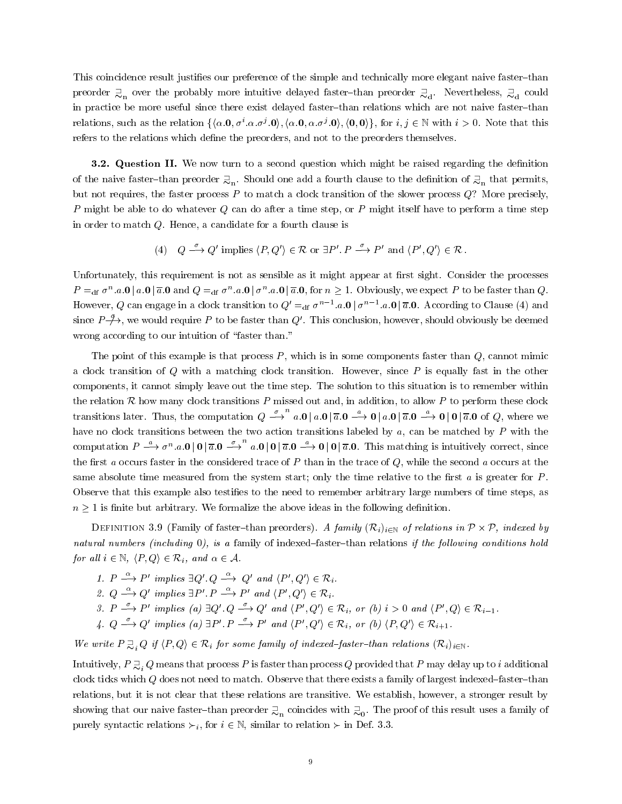This coincidence result justifies our preference of the simple and technically more elegant naive faster-than preorder  $\Xi_{\rm n}$  over the probably more intuitive delayed faster–than preorder  $\Xi_{\rm d}$ . Nevertheless,  $\Xi_{\rm d}$  could in practice be more useful since there exist delayed faster-than relations which are not naive faster-than relations, such as the relation  $\{\langle \alpha, \mathbf{0}, \sigma', \alpha, \sigma', \mathbf{0}\rangle, \{\alpha, \mathbf{0}, \alpha, \sigma', \mathbf{0}\}, \{\mathbf{0}, \mathbf{0}\}\},\$  for  $i, j \in \mathbb{N}$  with  $i > 0$ . Note that this refers to the relations which define the preorders, and not to the preorders themselves.

**3.2. Question II.** We now turn to a second question which might be raised regarding the definition of the naive faster-than preorder  $\gtrsim_{\text{n}}$ . Should one add a fourth clause to the definition of  $\gtrsim_{\text{n}}$  that permits, but not requires, the faster process  $P$  to match a clock transition of the slower process  $Q$ ? More precisely, P might be able to do whatever  $Q$  can do after a time step, or P might itself have to perform a time step in order to match Q. Hence, a candidate for a fourth clause is

(4) 
$$
Q \xrightarrow{\sigma} Q'
$$
 implies  $\langle P, Q' \rangle \in \mathcal{R}$  or  $\exists P'. P \xrightarrow{\sigma} P'$  and  $\langle P', Q' \rangle \in \mathcal{R}$ .

Unfortunately, this requirement is not as sensible as it might appear at first sight. Consider the processes  $P =_{\text{df}} \sigma^* a \cdot \mathbf{0} \mid a \cdot \mathbf{0} \mid a \cdot \mathbf{0}$  and  $Q =_{\text{df}} \sigma^* a \cdot \mathbf{0} \mid \sigma^* a \cdot \mathbf{0} \mid a \cdot \mathbf{0}$ , for  $n \geq 1$ . Obviously, we expect P to be faster than Q. However, Q can engage in a clock transition to  $Q' =$ df  $\sigma^{n-1}.a.\mathbf{0} \mid \sigma^{n-1}.a.\mathbf{0} \mid \overline{a}.\mathbf{0}$ . According to Clause (4) and since  $P\rightarrow\rightarrow$ , we would require P to be faster than Q'. This conclusion, however, should obviously be deemed wrong according to our intuition of "faster than."

The point of this example is that process  $P$ , which is in some components faster than  $Q$ , cannot mimic a clock transition of  $Q$  with a matching clock transition. However, since  $P$  is equally fast in the other components, it cannot simply leave out the time step. The solution to this situation is to remember within the relation  $R$  how many clock transitions P missed out and, in addition, to allow P to perform these clock transitions later. Thus, the computation  $Q \stackrel{\sim}{\longrightarrow} a \cdot 0 | a \cdot 0 | \overline{a} \cdot 0 \stackrel{\sim}{\longrightarrow} 0 | a \cdot 0 | \overline{a} \cdot 0 \stackrel{\sim}{\longrightarrow} 0 | 0 | \overline{a} \cdot 0 \stackrel{\sim}{\longrightarrow} 0$  (e.g. where we have no clock transitions between the two action transitions labeled by a, can be matched by P with the computation  $P \stackrel{\alpha}{\longrightarrow} \sigma^n$ , a.  $0 | 0 | \overline{a}$ ,  $0 \stackrel{\beta}{\longrightarrow} a$ ,  $0 | 0 | \overline{a}$ ,  $0 \stackrel{\alpha}{\longrightarrow} 0 | 0 | \overline{a}$ , 0. This matching is intuitively correct, since the first a occurs faster in the considered trace of  $P$  than in the trace of  $Q$ , while the second a occurs at the same absolute time measured from the system start; only the time relative to the first  $a$  is greater for  $P$ . Observe that this example also testies to the need to remember arbitrary large numbers of time steps, as  $n \geq 1$  is finite but arbitrary. We formalize the above ideas in the following definition.

Definition 3.3 (Family of faster than preorders). A family  $(N_i)_{i\in\mathbb{N}}$  of relations in P-A-P, indexed by natural numbers (including  $0$ ), is a family of indexed-faster-than relations if the following conditions hold for all  $i \in \mathbb{N}$ ,  $\langle P, Q \rangle \in \mathcal{R}_i$ , and  $\alpha \in \mathcal{A}$ .

- 1.  $P \longrightarrow P'$  implies  $\exists Q' \ Q \longrightarrow Q'$  and  $\langle P', Q' \rangle \in \mathcal{R}_i$ .
- 2.  $Q \stackrel{\alpha}{\longrightarrow} Q'$  implies  $\exists P'$ .  $P \stackrel{\alpha}{\longrightarrow} P'$  and  $\langle P', Q' \rangle \in \mathcal{R}_i$ .
- 3.  $P \xrightarrow{\circ} P'$  implies (a)  $\exists Q' \cdot Q \xrightarrow{\circ} Q'$  and  $\langle P', Q' \rangle \in \mathcal{R}_i$ , or (b)  $i > 0$  and  $\langle P', Q \rangle \in \mathcal{R}_{i-1}$ .
- 4.  $Q \stackrel{\sigma}{\longrightarrow} Q'$  implies (a)  $\exists P' \cdot P \stackrel{\sigma}{\longrightarrow} P'$  and  $\langle P', Q' \rangle \in \mathcal{R}_i$ , or (b)  $\langle P, Q' \rangle \in \mathcal{R}_{i+1}$ .

We write  $P \supseteq_i Q$  if  $\langle P, Q \rangle \in \mathcal{R}_i$  for some family of indexed-faster-than relations  $(\mathcal{R}_i)_{i \in \mathbb{N}}$ .

Intuitively,  $P \supseteq Q$  means that process P is faster than process Q provided that P may delay up to i additional clock ticks which  $Q$  does not need to match. Observe that there exists a family of largest indexed-faster-than relations, but it is not clear that these relations are transitive. We establish, however, a stronger result by showing that our naive faster–than preorder  $\gtrsim_n$  coincides with  $\gtrsim_0$ . The proof of this result uses a family of purely syntactic relations  $\succ_i$ , for  $i \in \mathbb{N}$ , similar to relation  $\succ$  in Def. 3.3.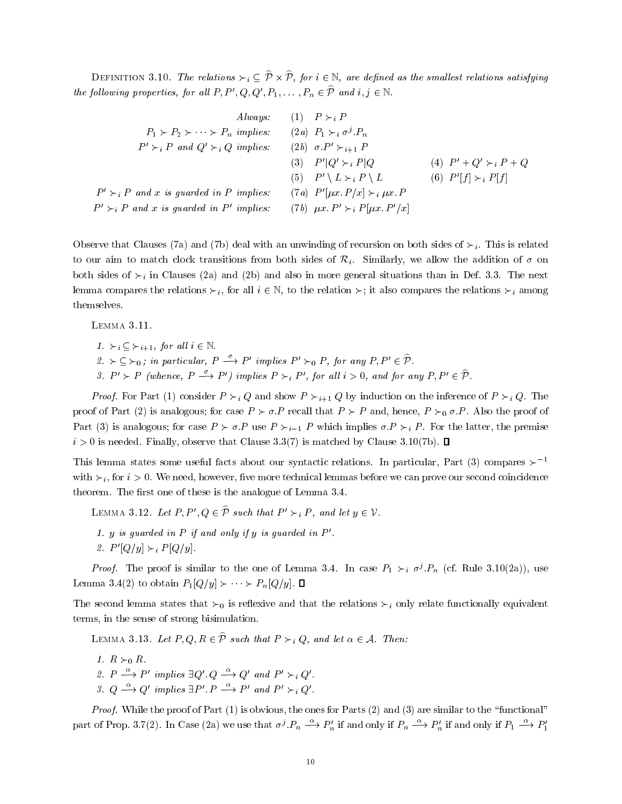DEFINITION 5.10. The relations  $\succ_i \subset r \times r$ , for  $i \in \mathbb{N}$ , are defined as the smallest relations satisfying the following properties, for all  $P, P', Q, Q', P_1, \ldots, P_n \in \widehat{P}$  and  $i, j \in \mathbb{N}$ .

*Always:*  
\n(1) 
$$
P \succ_i P
$$
  
\n $P_1 \succ P_2 \succ \cdots \succ P_n$  implies: (2a)  $P_1 \succ_i \sigma^j \cdot P_n$   
\n $P' \succ_i P$  and  $Q' \succ_i Q$  implies: (2b)  $\sigma \cdot P' \succ_{i+1} P$   
\n(3)  $P'|Q' \succ_i P|Q$   
\n(4)  $P' + Q' \succ_i P + Q$   
\n(5)  $P' \setminus L \succ_i P \setminus L$   
\n(6)  $P'[f] \succ_i P[f]$   
\n $P' \succ_i P$  and *x* is guarded in *P* implies: (7a)  $P'[ \mu x. P/x] \succ_i \mu x. P$   
\n $P' \succ_i P$  and *x* is guarded in *P'* implies: (7b)  $\mu x. P' \succ_i P[\mu x. P'/x]$ 

Observe that Clauses (7a) and (7b) deal with an unwinding of recursion on both sides of  $\succ_i$ . This is related to our aim to match clock transitions from both sides of  $\mathcal{R}_i$ . Similarly, we allow the addition of  $\sigma$  on both sides of  $\succ_i$  in Clauses (2a) and (2b) and also in more general situations than in Def. 3.3. The next lemma compares the relations  $\succ_i$ , for all  $i \in \mathbb{N}$ , to the relation  $\succ_i$ ; it also compares the relations  $\succ_i$  among themselves.

Lemma 3.11.

1.  $\succ_i \subset \succ_{i+1}$ , for all  $i \in \mathbb{N}$ . 2.  $\succ$   $\subset$   $\succ$ <sub>0</sub>; in particular,  $P \xrightarrow{\circ} P'$  implies  $P' \succ_0 P$ , for any  $P, P' \in \mathcal{P}$ .

3.  $P' \succ P$  (whence,  $P \xrightarrow{\sigma} P'$ ) implies  $P \succ_i P'$ , for all  $i > 0$ , and for any  $P, P' \in \mathcal{P}$ .

*Proof.* For Part (1) consider  $P \succ_i Q$  and show  $P \succ_{i+1} Q$  by induction on the inference of  $P \succ_i Q$ . The proof of Part (2) is analogous; for case  $P \succ \sigma.P$  recall that  $P \succ P$  and, hence,  $P \succ_0 \sigma.P$ . Also the proof of Part (3) is analogous; for case  $P \succ \sigma P$  use  $P \succ_{i-1} P$  which implies  $\sigma P \succ_i P$ . For the latter, the premise  $i > 0$  is needed. Finally, observe that Clause 3.3(7) is matched by Clause 3.10(7b).  $\Box$ 

This lemma states some useful facts about our syntactic relations. In particular, Part (3) compares  $\succ^{-1}$ with  $\succ_i$ , for  $i > 0$ . We need, however, five more technical lemmas before we can prove our second coincidence theorem. The first one of these is the analogue of Lemma 3.4.

LEMMA 3.12. Let  $P, P', Q \in \widehat{P}$  such that  $P' \succ_i P$ , and let  $y \in V$ .

1. y is quarded in  $P$  if and only if y is quarded in  $P'$ . 2.  $P'[Q/y] \succ_i P[Q/y]$ .

*Proof.* The proof is similar to the one of Lemma 5.4. In case  $P_1 \succ_i \sigma'$   $P_n$  (cf. Rule 3.10(2a)), use Lemma 3.4(2) to obtain  $P_1[Q/y] \rightarrow \cdots \rightarrow P_n[Q/y]$ .  $\Box$ 

The second lemma states that  $\succ_0$  is reflexive and that the relations  $\succ_i$  only relate functionally equivalent terms, in the sense of strong bisimulation.

LEMMA 3.13. Let  $P, Q, R \in \hat{\mathcal{P}}$  such that  $P \succ_i Q$ , and let  $\alpha \in \mathcal{A}$ . Then:

1.  $R \succ_0 R$ . 2.  $P \stackrel{\alpha}{\longrightarrow} P'$  implies  $\exists Q' \ Q \stackrel{\alpha}{\longrightarrow} Q'$  and  $P' \succ_i Q'$ . 3.  $Q \stackrel{\alpha}{\longrightarrow} Q'$  implies  $\exists P' \cdot P \stackrel{\alpha}{\longrightarrow} P'$  and  $P' \succ_i Q'$ .

*Proof.* While the proof of Part  $(1)$  is obvious, the ones for Parts  $(2)$  and  $(3)$  are similar to the "functional" part of Prop. 3.7(2). In Case (2a) we use that  $\sigma^j.P_n \stackrel{\alpha}{\longrightarrow} P_n'$  if and only if  $P_n \stackrel{\alpha}{\longrightarrow} P_n'$  if and only if  $P_1 \stackrel{\alpha}{\longrightarrow} P_1'$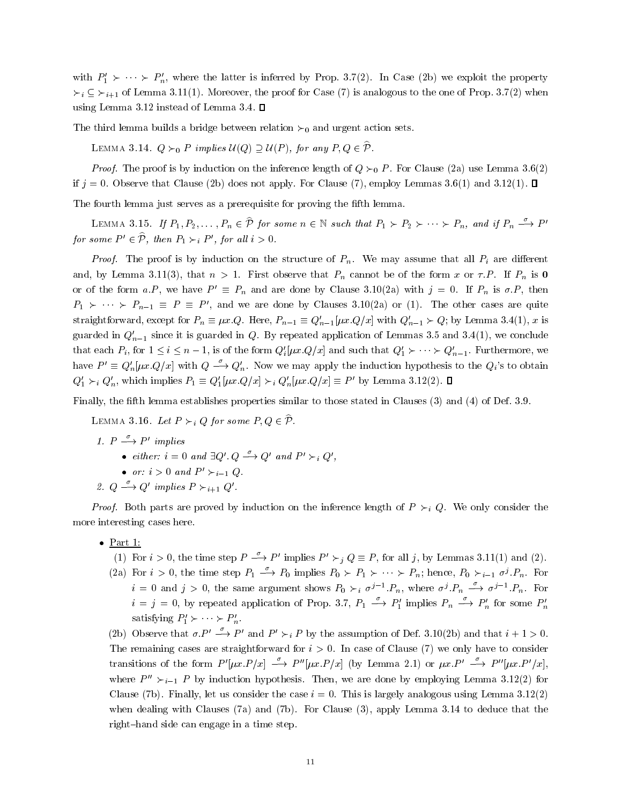with  $P'_1 \succ \cdots \succ P'_n$ , where the latter is inferred by Prop. 3.7(2). In Case (2b) we exploit the property  $\succ_i \subseteq \succ_{i+1}$  of Lemma 3.11(1). Moreover, the proof for Case (7) is analogous to the one of Prop. 3.7(2) when using Lemma 3.12 instead of Lemma 3.4.  $\square$ 

The third lemma builds a bridge between relation  $\succ_0$  and urgent action sets.

LEMMA 3.14.  $Q \succ_0 P$  implies  $U(Q) \supseteq U(P)$ , for any  $P, Q \in \widehat{P}$ .

*Proof.* The proof is by induction on the inference length of  $Q \succ_0 P$ . For Clause (2a) use Lemma 3.6(2) if  $j = 0$ . Observe that Clause (2b) does not apply. For Clause (7), employ Lemmas 3.6(1) and 3.12(1).  $\Box$ 

The fourth lemma just serves as a prerequisite for proving the fth lemma.

LEMMA 3.15. If  $P_1, P_2, \ldots, P_n \in \mathcal{P}$  for some  $n \in \mathbb{N}$  such that  $P_1 \succ P_2 \succ \cdots \succ P_n$ , and if  $P_n \stackrel{\sim}{\longrightarrow} P'$ for some  $P' \in \hat{\mathcal{P}}$ , then  $P_1 \succ_i P'$ , for all  $i > 0$ .

*Proof.* The proof is by induction on the structure of  $P_n$ . We may assume that all  $P_i$  are different and, by Lemma 3.11(3), that  $n > 1$ . First observe that  $P_n$  cannot be of the form x or  $\tau.P$ . If  $P_n$  is 0 or of the form a.P, we have  $P' \equiv P_n$  and are done by Clause 3.10(2a) with  $j = 0$ . If  $P_n$  is  $\sigma.P$ , then  $P_1 \succ \cdots \succ P_{n-1} \equiv P \equiv P'$ , and we are done by Clauses 3.10(2a) or (1). The other cases are quite straightforward, except for  $P_n \equiv \mu x.Q$ . Here,  $P_{n-1} \equiv Q'_{n-1}[\mu x.Q/x]$  with  $Q'_{n-1} \succ Q$ ; by Lemma 3.4(1), x is guarded in  $Q_{n-1}'$  since it is guarded in Q. By repeated application of Lemmas 3.5 and 3.4(1), we conclude that each  $P_i$ , for  $1 \le i \le n-1$ , is of the form  $Q_i'(\mu x.Q/x]$  and such that  $Q_1' \succ \cdots \succ Q_{n-1}'$ . Furthermore, we have  $P' \equiv Q'_n[\mu x.Q/x]$  with  $Q \stackrel{\sigma}{\longrightarrow} Q'_n$ . Now we may apply the induction hypothesis to the  $Q_i$ 's to obtain  $Q'_1 \succ_i Q'_n$ , which implies  $P_1 \equiv Q'_1[\mu x.Q/x] \succ_i Q'_n[\mu x.Q/x] \equiv P'$  by Lemma 3.12(2).  $\Box$ 

Finally, the fth lemma establishes properties similar to those stated in Clauses (3) and (4) of Def. 3.9.

LEMMA 3.16. Let  $P \succ_i Q$  for some  $P, Q \in \mathcal{P}$ .

- 1.  $P \longrightarrow P'$  implies
	- either:  $i = 0$  and  $\exists Q' \ Q \stackrel{\sigma}{\longrightarrow} Q'$  and  $P' \succ_i Q'$ ,
	- or:  $i > 0$  and  $P' \succ_{i=1} Q$ .
- 2.  $Q \stackrel{\sigma}{\longrightarrow} Q'$  implies  $P \succ_{i+1} Q'$ .

*Proof.* Both parts are proved by induction on the inference length of  $P \succ_i Q$ . We only consider the more interesting cases here.

- Part 1:
	- (1) For  $i > 0$ , the time step  $P \xrightarrow{\sigma} P'$  implies  $P' \succ_i Q \equiv P$ , for all j, by Lemmas 3.11(1) and (2).
	- (2a) For  $i > 0$ , the time step  $P_1 \longrightarrow P_0$  implies  $P_0 \succ P_1 \succ \cdots \succ P_n$ ; hence,  $P_0 \succ_{i=1} \sigma^j P_n$ . For  $i = 0$  and  $j > 0$ , the same argument shows  $P_0 \succ_i \sigma^{j-1} P_n$ , where  $\sigma^j P_n \longrightarrow \sigma^{j-1} P_n$ . For  $i = j = 0$ , by repeated application of Prop. 3.7,  $P_1 \stackrel{\circ}{\longrightarrow} P'_1$  implies  $P_n \stackrel{\circ}{\longrightarrow} P'_n$  for some  $P'_n$ satisfying  $P'_1 \succ \cdots \succ P'_n$ .
	- (2b) Observe that  $\sigma.P' \stackrel{\sigma}{\longrightarrow} P'$  and  $P' \succ_i P$  by the assumption of Def. 3.10(2b) and that  $i + 1 > 0$ . The remaining cases are straightforward for  $i > 0$ . In case of Clause (7) we only have to consider transitions of the form  $P'[\mu x.P/x] \stackrel{\sigma}{\longrightarrow} P''[\mu x.P/x]$  (by Lemma 2.1) or  $\mu x.P' \stackrel{\sigma}{\longrightarrow} P''[\mu x.P'/x]$ where  $P'' \succ_{i=1} P$  by induction hypothesis. Then, we are done by employing Lemma 3.12(2) for Clause (7b). Finally, let us consider the case  $i=0$ . This is largely analogous using Lemma 3.12(2) when dealing with Clauses (7a) and (7b). For Clause (3), apply Lemma 3.14 to deduce that the right-hand side can engage in a time step.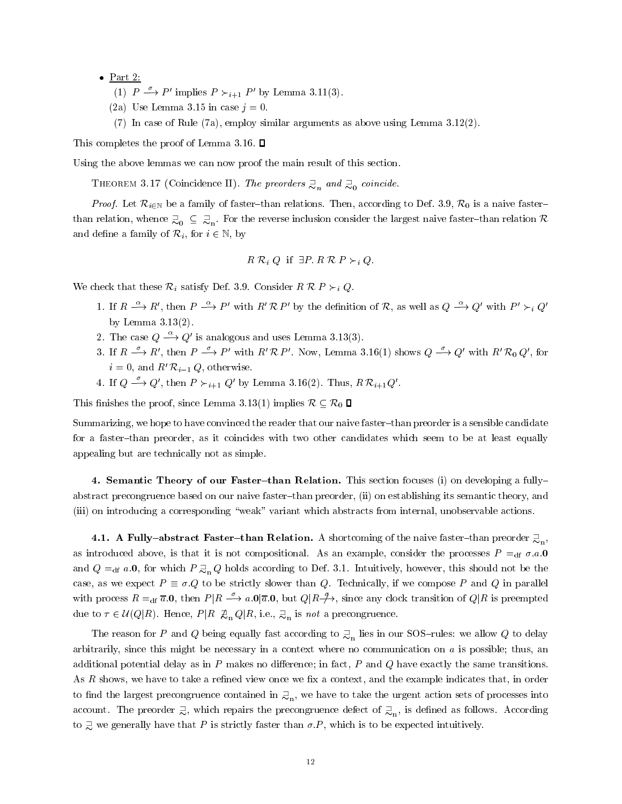- Part 2:
	- (1)  $P \longrightarrow P'$  implies  $P \succ_{i+1} P'$  by Lemma 3.11(3).
	- (2a) Use Lemma 3.15 in case  $j = 0$ .
	- (7) In case of Rule (7a), employ similar arguments as above using Lemma 3.12(2).

This completes the proof of Lemma 3.16.  $\Box$ 

Using the above lemmas we can now proof the main result of this section.

THEOREM 3.17 (Coincidence II). The preorders  $\supsetneq_n$  and  $\supsetneq_0$  coincide.

*Proof.* Let  $\mathcal{R}_{i\in\mathbb{N}}$  be a family of faster-than relations. Then, according to Def. 3.9,  $\mathcal{R}_0$  is a naive fasterthan relation, whence  $\supseteq_o\subseteq\supseteq_n$ . For the reverse inclusion consider the largest naive faster–than relation  $\mathcal R$ and define a family of  $\mathcal{R}_i$ , for  $i \in \mathbb{N}$ , by

$$
R \mathcal{R}_i Q
$$
 if  $\exists P \mathcal{R} \mathcal{R} P \succ_i Q$ .

We check that these  $\mathcal{R}_i$  satisfy Def. 3.9. Consider  $R \mathcal{R} P \succ_i Q$ .

- 1. If  $R \stackrel{\alpha}{\longrightarrow} R'$ , then  $P \stackrel{\alpha}{\longrightarrow} P'$  with  $R' \mathcal{R} P'$  by the definition of R, as well as  $Q \stackrel{\alpha}{\longrightarrow} Q'$  with  $P' \succ_i Q'$ by Lemma 3.13(2).
- 2. The case  $Q \stackrel{\alpha}{\longrightarrow} Q'$  is analogous and uses Lemma 3.13(3).
- 3. If  $R \xrightarrow{\sigma} R'$ , then  $P \xrightarrow{\sigma} P'$  with  $R' \mathcal{R} P'$ . Now, Lemma 3.16(1) shows  $Q \xrightarrow{\sigma} Q'$  with  $R' \mathcal{R}_0 Q'$ , for  $i = 0$ , and  $R' \mathcal{R}_{i-1} Q$ , otherwise.
- 4. If  $Q \stackrel{\sigma}{\longrightarrow} Q'$ , then  $P \succ_{i+1} Q'$  by Lemma 3.16(2). Thus,  $R \mathcal{R}_{i+1} Q'$ .

This finishes the proof, since Lemma 3.13(1) implies  $\mathcal{R} \subseteq \mathcal{R}_0$   $\Box$ 

Summarizing, we hope to have convinced the reader that our naive faster-than preorder is a sensible candidate for a faster-than preorder, as it coincides with two other candidates which seem to be at least equally appealing but are technically not as simple.

4. Semantic Theory of our Faster-than Relation. This section focuses (i) on developing a fullyabstract precongruence based on our naive faster-than preorder, (ii) on establishing its semantic theory, and (iii) on introducing a corresponding \weak" variant which abstracts from internal, unobservable actions.

4.1. A Fully-abstract Faster-than Relation. A shortcoming of the naive faster-than preorder  $\mathbb{R}_n$ . , as introduced above, is that it is not compositional. As an example, consider the processes  $P =_{df} \sigma.a.0$ and  $Q =_{df} a.0$ , for which  $P \supseteq_{n} Q$  holds according to Def. 3.1. Intuitively, however, this should not be the case, as we expect  $P \equiv \sigma.Q$  to be strictly slower than Q. Technically, if we compose P and Q in parallel with process  $R =_{df} \overline{a} \cdot 0$ , then  $P|R \longrightarrow a \cdot 0|\overline{a} \cdot 0$ , but  $Q|R \rightarrow \rightarrow$ , since any clock transition of  $Q|R$  is preempted due to  $\tau \in \mathcal{U}(Q|R)$ . Hence,  $P|R \not\equiv_n Q|R$ , i.e.,  $\supsetneq_n$  is not a precongruence.

The reason for P and Q being equally fast according to  $\gtrsim_n$  lies in our SOS–rules: we allow Q to delay arbitrarily, since this might be necessary in a context where no communication on <sup>a</sup> is possible; thus, an additional potential delay as in  $P$  makes no difference; in fact,  $P$  and  $Q$  have exactly the same transitions. As R shows, we have to take a refined view once we fix a context, and the example indicates that, in order to find the largest precongruence contained in  $\mathbb{R}_{\rm n},$  we have to take the urgent action sets of processes into account. The preorder  $\gtrsim$ , which repairs the precongruence defect of  $\gtrsim_{\text{n}}$ , is defined as follows. According to  $\supsetneq$  we generally have that P is strictly faster than  $\sigma.P$ , which is to be expected intuitively.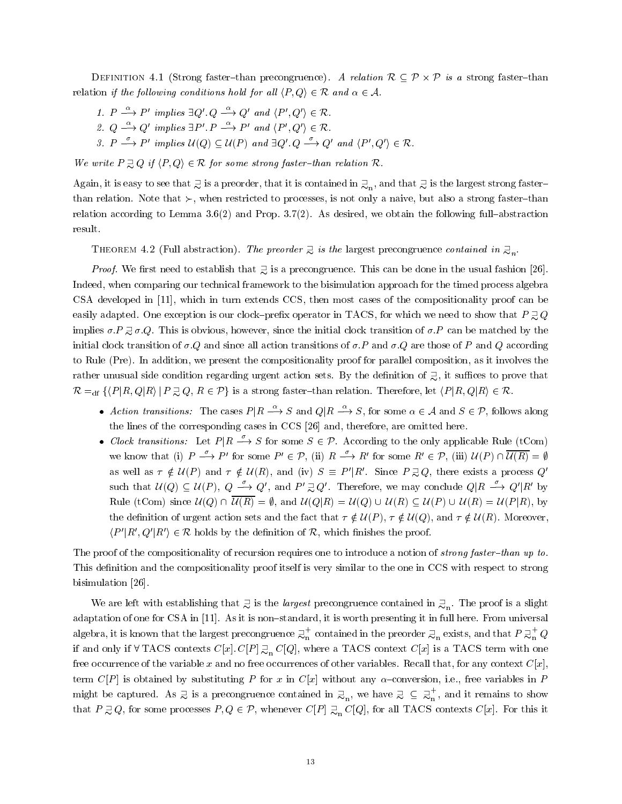$\blacksquare$  . That is a strong faster  $\blacksquare$  precongruence). As relation r  $\blacksquare$  . A strong faster  $\blacksquare$ relation if the following conditions hold for all  $\langle P, Q \rangle \in \mathcal{R}$  and  $\alpha \in \mathcal{A}$ .

- 1.  $P \stackrel{\alpha}{\longrightarrow} P'$  implies  $\exists Q' \ Q \stackrel{\alpha}{\longrightarrow} Q'$  and  $\langle P', Q' \rangle \in \mathcal{R}$ .
- 2.  $Q \stackrel{\alpha}{\longrightarrow} Q'$  implies  $\exists P' \stackrel{\alpha}{\longrightarrow} P'$  and  $\langle P', Q' \rangle \in \mathcal{R}$ .
- 3.  $P \xrightarrow{\sim} P'$  implies  $U(Q) \subseteq U(P)$  and  $\exists Q' \ Q \xrightarrow{\sim} Q'$  and  $\langle P', Q' \rangle \in \mathcal{R}$ .

We write  $P \supseteq Q$  if  $\langle P, Q \rangle \in \mathcal{R}$  for some strong faster-than relation  $\mathcal{R}$ .

Again, it is easy to see that  $\exists$  is a preorder, that it is contained in  $\exists_n,$  and that  $\exists$  is the largest strong faster– than relation. Note that  $\succ$ , when restricted to processes, is not only a naive, but also a strong faster-than relation according to Lemma  $3.6(2)$  and Prop.  $3.7(2)$ . As desired, we obtain the following full-abstraction result.

THEOREM 4.2 (Full abstraction). The preorder  $\supsetneq$  is the largest precongruence contained in  $\supsetneq_n$ .

*Proof.* We first need to establish that  $\overline{z}$  is a precongruence. This can be done in the usual fashion [26]. Indeed, when comparing our technical framework to the bisimulation approach for the timed process algebra CSA developed in [11], which in turn extends CCS, then most cases of the compositionality proof can be easily adapted. One exception is our clock-prefix operator in TACS, for which we need to show that  $P \supseteq Q$ implies  $\sigma.P \supseteq \sigma.Q$ . This is obvious, however, since the initial clock transition of  $\sigma.P$  can be matched by the initial clock transition of  $\sigma.Q$  and since all action transitions of  $\sigma.P$  and  $\sigma.Q$  are those of P and Q according to Rule (Pre). In addition, we present the compositionality proof for parallel composition, as it involves the rather unusual side condition regarding urgent action sets. By the definition of  $\gtrsim$ , it suffices to prove that  $\mathcal{R} =_{df} \{ \langle P | R, Q | R \rangle | P \supsetneq Q, R \in \mathcal{P} \}$  is a strong faster-than relation. Therefore, let  $\langle P | R, Q | R \rangle \in \mathcal{R}$ .

- Action transitions: The cases  $P|R \stackrel{\alpha}{\longrightarrow} S$  and  $Q|R \stackrel{\alpha}{\longrightarrow} S$ , for some  $\alpha \in A$  and  $S \in \mathcal{P}$ , follows along the lines of the corresponding cases in CCS [26] and, therefore, are omitted here.
- Clock transitions: Let  $P | R \stackrel{\sigma}{\longrightarrow} S$  for some  $S \in \mathcal{P}$ . According to the only applicable Rule (tCom) we know that (i)  $P \xrightarrow{\rho} P'$  for some  $P' \in \mathcal{P}$ , (ii)  $R \xrightarrow{\rho} R'$  for some  $R' \in \mathcal{P}$ , (iii)  $\mathcal{U}(P) \cap \mathcal{U}(R) = \emptyset$ as well as  $\tau \notin U(P)$  and  $\tau \notin U(R)$ , and (iv)  $S \equiv P'|R'$ . Since  $P \supsetneq Q$ , there exists a process Q' such that  $U(Q) \subseteq U(P)$ ,  $Q \stackrel{\sigma}{\longrightarrow} Q'$ , and  $P' \supseteq Q'$ . Therefore, we may conclude  $Q|R \stackrel{\sigma}{\longrightarrow} Q'|R'$  by Rule (tCom) since  $U(Q) \cap \overline{U(R)} = \emptyset$ , and  $U(Q|R) = U(Q) \cup U(R) \subseteq U(P) \cup U(R) = U(P|R)$ , by the definition of urgent action sets and the fact that  $\tau \notin \mathcal{U}(P)$ ,  $\tau \notin \mathcal{U}(Q)$ , and  $\tau \notin \mathcal{U}(R)$ . Moreover,  $\langle P'|R', Q'|R'\rangle \in \mathcal{R}$  holds by the definition of  $\mathcal{R}$ , which finishes the proof.

The proof of the compositionality of recursion requires one to introduce a notion of *strong faster-than up to*. This definition and the compositionality proof itself is very similar to the one in CCS with respect to strong bisimulation [26].

We are left with establishing that  $\supsetneq$  is the *largest* precongruence contained in  $\supsetneq_n$ . The proof is a slight adaptation of one for CSA in [11]. As it is non-standard, it is worth presenting it in full here. From universal algebra, it is known that the largest precongruence  $\mathbb{E}_\mathbf{n}^+$  contained i  $_{\rm n}^{+}$  contained in the preorder  $\mathfrak{Z}_{\rm n}$  exists, and that  $P \mathfrak{Z}_{\rm n}^{+}$   $Q$ if and only if  $\forall$  TACS contexts  $C[x]$ .  $C[P] \gtrsim_n C[Q]$ , where a TACS context  $C[x]$  is a TACS term with one free occurrence of the variable x and no free occurrences of other variables. Recall that, for any context  $C[x]$ , term  $C[P]$  is obtained by substituting P for x in  $C[x]$  without any  $\alpha$ -conversion, i.e., free variables in P might be captured. As  $\exists$  is a precongruence contained in  $\exists_n$ , we have  $\exists \subseteq \exists_n^T$ , and it remains to show that  $P \supsetneq Q$ , for some processes  $P, Q \in \mathcal{P}$ , whenever  $C[P] \supsetneq_{\text{n}} C[Q]$ , for all TACS contexts  $C[x]$ . For this it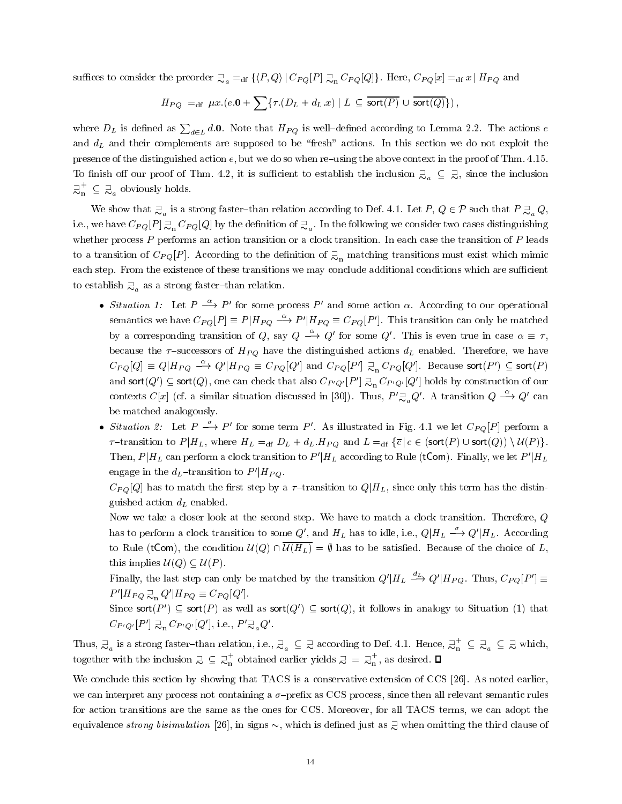suffices to consider the preorder  $\exists_{a} =_{df} \{P,Q\} | C_{PQ}[P] \exists_{n} C_{PQ}[Q] \}.$  Here,  $C_{PQ}[x] =_{df} x | H_{PQ}$  and

$$
H_{PQ} =_{\text{df}} \mu x.(e.0 + \sum \{ \tau.(D_L + d_L.x) \mid L \subseteq \overline{\text{sort}(P)} \cup \overline{\text{sort}(Q)} \}),
$$

where  $D_L$  is defined as  $\sum_{d \in L} d.$  O. Note that  $H_{PQ}$  is well–defined according to Lemma 2.2. The actions  $e$ and  $d<sub>L</sub>$  and their complements are supposed to be "fresh" actions. In this section we do not exploit the presence of the distinguished action  $e$ , but we do so when re-using the above context in the proof of Thm. 4.15. To finish off our proof of Thm. 4.2, it is sufficient to establish the inclusion  $\supsetneq_a \subseteq \supsetneq$ , since the inclusion  $\mathcal{Q}_{n} \subseteq \mathcal{Q}_{a}$  obviously holds.

We show that  $\exists_a$  is a strong faster–than relation according to Def. 4.1. Let P,  $Q \in \mathcal{P}$  such that  $P \exists_a Q,$ i.e., we have  $C_{PQ}[P] \gtrsim_{\rm n} C_{PQ}[Q]$  by the definition of  $\gtrsim_{a}$ . In the following we consider two cases distinguishing whether process  $P$  performs an action transition or a clock transition. In each case the transition of  $P$  leads to a transition of  $C_{PQ}[P]$ . According to the definition of  $\supsetneq_n$  matching transitions must exist which mimic each step. From the existence of these transitions we may conclude additional conditions which are sufficient to establish  $\supseteq_a$  as a strong faster-than relation.

- Situation 1: Let  $P \stackrel{\alpha}{\longrightarrow} P'$  for some process P' and some action  $\alpha$ . According to our operational semantics we have  $C_{PO}[P] \equiv P|H_{PO} \stackrel{\alpha}{\longrightarrow} P'|H_{PO} \equiv C_{PO}[P']$ . This transition can only be matched by a corresponding transition of Q, say  $Q \stackrel{\alpha}{\longrightarrow} Q'$  for some Q'. This is even true in case  $\alpha \equiv \tau$ , because the  $\tau$ -successors of  $H_{PQ}$  have the distinguished actions  $d_L$  enabled. Therefore, we have  $C_{PQ}[Q] \equiv Q|H_{PQ} \stackrel{\alpha}{\longrightarrow} Q'|H_{PQ} \equiv C_{PQ}[Q']$  and  $C_{PQ}[P']$   $\supsetneq_{\rm n} C_{PQ}[Q']$ . Because sort $(P') \subseteq$  sort $(P)$ and sort(Q')  $\subseteq$  sort(Q), one can check that also  $C_{P'Q'}[P'] \supsetneq_{n} C_{P'Q'}[Q']$  holds by construction of our contexts C[x] (cf. a similar situation discussed in [30]). Thus,  $P' \gtrsim_a Q'$ . A transition  $Q \stackrel{\alpha}{\longrightarrow} Q'$  can be matched analogously.
- Situation 2: Let  $P \stackrel{\sim}{\longrightarrow} P'$  for some term P'. As illustrated in Fig. 4.1 we let  $C_{PO}[P]$  perform a  ${\tau}-{\text{transition to}}\ P|H_L$ , where  $H_L =_{\text{df}} D_L + d_L.H_{PQ}$  and  $L =_{\text{df}} {\{\overline{c} \mid c \in (\text{sort}(P) \cup \text{sort}(Q)) \setminus \mathcal{U}(P)\}.$ Then,  $P|H_L$  can perform a clock transition to  $P'|H_L$  according to Rule (tCom). Finally, we let  $P'|H_L$ engage in the  $d_L$ -transition to  $P'|H_{PQ}$ .

 $C_{PQ}[Q]$  has to match the first step by a  $\tau$ -transition to  $Q|H_L$ , since only this term has the distinguished action  $d<sub>L</sub>$  enabled.

Now we take a closer look at the second step. We have to match a clock transition. Therefore, <sup>Q</sup> has to perform a clock transition to some  $Q'$ , and  $H_L$  has to idle, i.e.,  $Q|H_L \stackrel{\sim}{\longrightarrow} Q'|H_L$ . According to Rule (tCom), the condition  $U(Q) \cap \overline{U(H_L)} = \emptyset$  has to be satisfied. Because of the choice of L, this implies  $U(Q) \subseteq U(P)$ .

Finally, the last step can only be matched by the transition  $Q'|H_L \stackrel{\alpha}{\longrightarrow} Q'|H_{PO}$ . Thus,  $C_{PO}[P'] \equiv$  $P'|H_{PQ} \gtrsim_{\text{n}} Q'|H_{PQ} \equiv C_{PQ}[Q'].$ 

Since sort(P')  $\subseteq$  sort(P) as well as sort(Q')  $\subseteq$  sort(Q), it follows in analogy to Situation (1) that  $C_{P'Q'}[P'] \gtrsim_{\alpha} C_{P'Q'}[Q'],$  i.e.,  $P' \gtrsim_{\alpha} Q'.$ 

Thus,  $\supsetneq_a$  is a strong faster-than relation, i.e.,  $\supsetneq_a\subseteq\supsetneq$  according to Def. 4.1. Hence,  $\supsetneq_n\subseteq\supsetneq\supsetneq_a\subseteq\supsetneq$  which, together with the inclusion  $\exists \subseteq \exists_n^{\top}$  obtained earlier yields  $\exists = \exists_n^{\top}$ , as desired.  $\Box$ 

We conclude this section by showing that TACS is a conservative extension of CCS [26]. As noted earlier, we can interpret any process not containing a  $\sigma$ -prefix as CCS process, since then all relevant semantic rules for action transitions are the same as the ones for CCS. Moreover, for all TACS terms, we can adopt the equivalence *strong bisimulation* [26], in signs  $\sim$ , which is defined just as  $\supsetneq$  when omitting the third clause of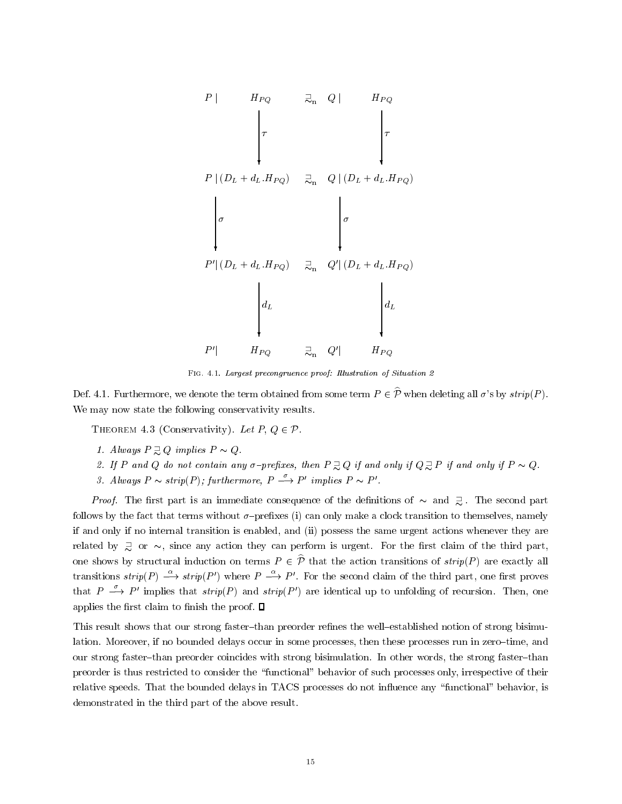

FIG. 4.1. Largest precongruence proof: Illustration of Situation 2

Def. 4.1. Furthermore, we denote the term obtained from some term  $P \in \hat{\mathcal{P}}$  when deleting all  $\sigma$ 's by strip(P). We may now state the following conservativity results.

THEOREM 4.3 (Conservativity). Let  $P, Q \in \mathcal{P}$ .

- 1. Always  $P \supseteq Q$  implies  $P \sim Q$ .
- 2. If P and Q do not contain any  $\sigma$ -prefixes, then  $P \supsetneq Q$  if and only if  $Q \supsetneq P$  if and only if  $P \sim Q$ .
- 3. Always  $P \sim strip(P)$ ; furthermore,  $P \stackrel{\sim}{\longrightarrow} P'$  implies  $P \sim P'$ .

*Proof.* The first part is an immediate consequence of the definitions of  $\sim$  and  $\supsetneq$ . The second part follows by the fact that terms without  $\sigma$ -prefixes (i) can only make a clock transition to themselves, namely if and only if no internal transition is enabled, and (ii) possess the same urgent actions whenever they are related by  $\supsetneq$  or  $\sim$ , since any action they can perform is urgent. For the first claim of the third part, one shows by structural induction on terms  $P \in \hat{\mathcal{P}}$  that the action transitions of  $strip(P)$  are exactly all transitions  $strip(P) \stackrel{\alpha}{\longrightarrow} strip(P')$  where  $P \stackrel{\alpha}{\longrightarrow} P'$ . For the second claim of the third part, one first proves that  $P \xrightarrow{\sigma} P'$  implies that  $strip(P)$  and  $strip(P')$  are identical up to unfolding of recursion. Then, one applies the first claim to finish the proof.  $\Box$ 

This result shows that our strong faster-than preorder refines the well-established notion of strong bisimulation. Moreover, if no bounded delays occur in some processes, then these processes run in zero-time, and our strong faster-than preorder coincides with strong bisimulation. In other words, the strong faster-than preorder is thus restricted to consider the \functional" behavior of such processes only, irrespective of their relative speeds. That the bounded delays in TACS processes do not influence any "functional" behavior, is demonstrated in the third part of the above result.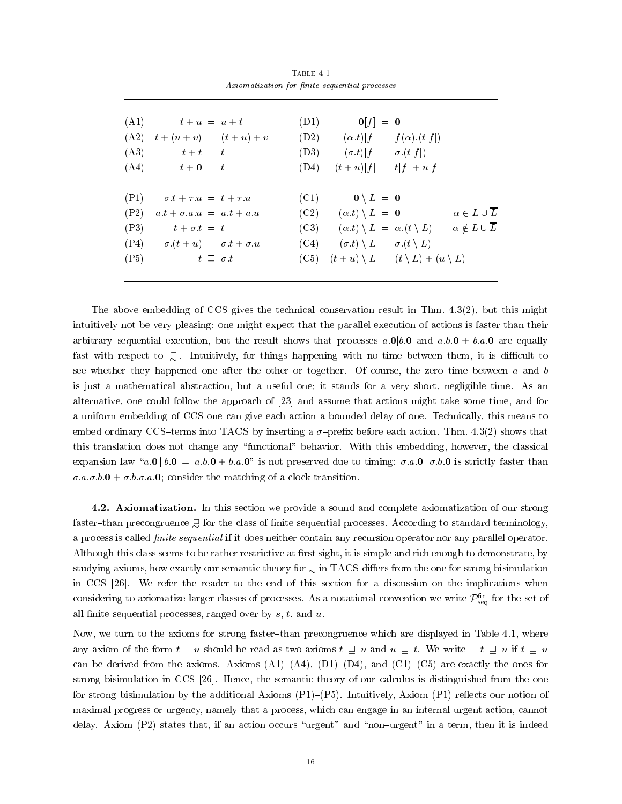|      | (A1) $t + u = u + t$                                         | $(D1)$ $0[f] = 0$                                                                               |  |
|------|--------------------------------------------------------------|-------------------------------------------------------------------------------------------------|--|
|      | $(A2)$ $t + (u + v) = (t + u) + v$                           | (D2) $(\alpha.t)[f] = f(\alpha).(t[f])$                                                         |  |
| (A3) | $t+t = t$                                                    | $(D3) \qquad (\sigma.t)[f] = \sigma.(t[f])$                                                     |  |
|      | $(A4)$ $t + 0 = t$                                           | (D4) $(t+u)[f] = t[f] + u[f]$                                                                   |  |
|      |                                                              |                                                                                                 |  |
|      | $P1)$ $\sigma t + \tau u = t + \tau u$                       | $(C1)$ $0 \setminus L = 0$                                                                      |  |
| (P2) | $a \cdot t + \sigma \cdot a \cdot u = a \cdot t + a \cdot u$ | (C2) $(\alpha,t) \setminus L = 0$ $\alpha \in L \cup \overline{L}$                              |  |
| (P3) | $t + \sigma t = t$                                           | (C3) $(\alpha.t) \setminus L = \alpha.(t \setminus L) \qquad \alpha \notin L \cup \overline{L}$ |  |
|      | $(P4)$ $\sigma.(t+u) = \sigma.t + \sigma.u$                  | $(C4)$ $(\sigma.t) \setminus L = \sigma.(t \setminus L)$                                        |  |
| (P5) | $t \supseteq \sigma.t$                                       | $(C5)$ $(t+u) \setminus L = (t \setminus L) + (u \setminus L)$                                  |  |
|      |                                                              |                                                                                                 |  |

TABLE  $4.1$ Axiomatization for finite sequential processes

The above embedding of CCS gives the technical conservation result in Thm. 4.3(2), but this might intuitively not be very pleasing: one might expect that the parallel execution of actions is faster than their arbitrary sequential execution, but the result shows that processes  $a.0|b.0$  and  $a.b.0 + b.a.0$  are equally fast with respect to  $\overline{z}$ . Intuitively, for things happening with no time between them, it is difficult to see whether they happened one after the other or together. Of course, the zero-time between a and b is just a mathematical abstraction, but a useful one; it stands for a very short, negligible time. As an alternative, one could follow the approach of [23] and assume that actions might take some time, and for a uniform embedding of CCS one can give each action a bounded delay of one. Technically, this means to embed ordinary CCS-terms into TACS by inserting a  $\sigma$ -prefix before each action. Thm. 4.3(2) shows that this translation does not change any \functional" behavior. With this embedding, however, the classical expansion law "a.0 | b.0 = a.b.0 + b.a.0" is not preserved due to timing:  $\sigma.a.0$  |  $\sigma.b.0$  is strictly faster than  $\sigma.a.\sigma.b.0 + \sigma.b.\sigma.a.0$ ; consider the matching of a clock transition.

4.2. Axiomatization. In this section we provide a sound and complete axiomatization of our strong faster-than precongruence  $\supseteq$  for the class of finite sequential processes. According to standard terminology, a process is called *finite sequential* if it does neither contain any recursion operator nor any parallel operator. Although this class seems to be rather restrictive at first sight, it is simple and rich enough to demonstrate, by studying axioms, how exactly our semantic theory for  $\gtrsim$  in TACS differs from the one for strong bisimulation in CCS [26]. We refer the reader to the end of this section for a discussion on the implications when considering to axiomatize larger classes of processes. As a notational convention we write  $\mathcal{F}_{\mathsf{seq}}$  for the set of all finite sequential processes, ranged over by  $s, t$ , and  $u$ .

Now, we turn to the axioms for strong faster-than precongruence which are displayed in Table 4.1, where any axiom of the form  $t = u$  should be read as two axioms  $t \supseteq u$  and  $u \supseteq t$ . We write  $\vdash t \supseteq u$  if  $t \supseteq u$ can be derived from the axioms. Axioms  $(A1)$ – $(A4)$ ,  $(D1)$ – $(D4)$ , and  $(C1)$ – $(C5)$  are exactly the ones for strong bisimulation in CCS [26]. Hence, the semantic theory of our calculus is distinguished from the one for strong bisimulation by the additional Axioms  $(P1)$ – $(P5)$ . Intuitively, Axiom  $(P1)$  reflects our notion of maximal progress or urgency, namely that a process, which can engage in an internal urgent action, cannot delay. Axiom (P2) states that, if an action occurs "urgent" and "non-urgent" in a term, then it is indeed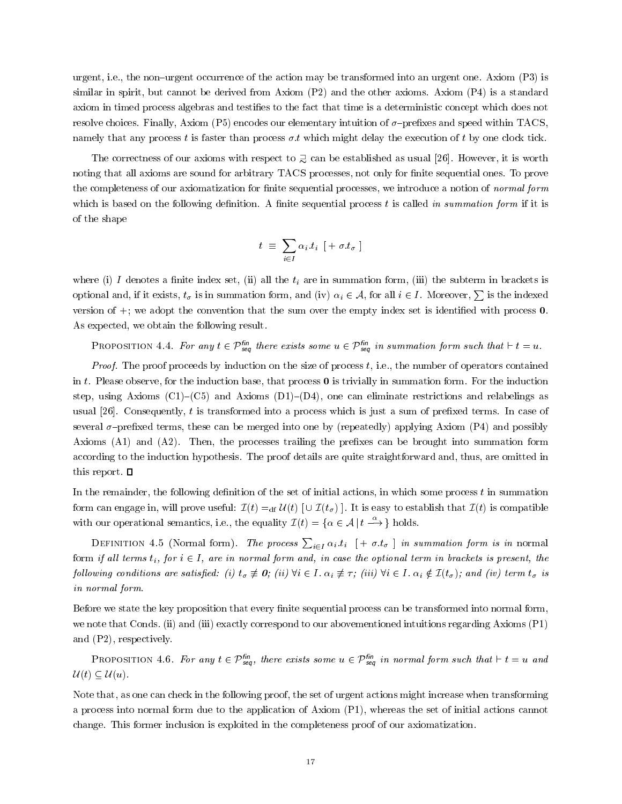urgent, i.e., the non-urgent occurrence of the action may be transformed into an urgent one. Axiom (P3) is similar in spirit, but cannot be derived from Axiom (P2) and the other axioms. Axiom (P4) is a standard axiom in timed process algebras and testies to the fact that time is a deterministic concept which does not resolve choices. Finally, Axiom (P5) encodes our elementary intuition of  $\sigma$ -prefixes and speed within TACS, namely that any process t is faster than process  $\sigma.t$  which might delay the execution of t by one clock tick.

The correctness of our axioms with respect to  $\supsetneq$  can be established as usual [26]. However, it is worth noting that all axioms are sound for arbitrary TACS processes, not only for finite sequential ones. To prove the completeness of our axiomatization for finite sequential processes, we introduce a notion of normal form which is based on the following definition. A finite sequential process  $t$  is called in summation form if it is of the shape

$$
t \; \equiv \; \sum_{i \in I} \alpha_i . t_i \; \; [+ \sigma . t_{\sigma} \;]
$$

where (i) I denotes a finite index set, (ii) all the  $t_i$  are in summation form, (iii) the subterm in brackets is optional and, if it exists,  $t_{\sigma}$  is in summation form, and (iv)  $\alpha_i \in A$ , for all  $i \in I$ . Moreover,  $\sum$  is the indexed version of  $+$ ; we adopt the convention that the sum over the empty index set is identified with process  $0$ . As expected, we obtain the following result.

**PROPOSITION** 4.4. For any  $t \in P$  <sub>seq</sub> there exists some  $u \in P$  <sub>seq</sub> in summation form such that  $\vdash t \equiv u$ .

*Proof.* The proof proceeds by induction on the size of process  $t$ , i.e., the number of operators contained in t. Please observe, for the induction base, that process  $\bf{0}$  is trivially in summation form. For the induction step, using Axioms (C1)-(C5) and Axioms (D1)-(D4), one can eliminate restrictions and relabelings as usual  $[26]$ . Consequently, t is transformed into a process which is just a sum of prefixed terms. In case of several  $\sigma$ -prefixed terms, these can be merged into one by (repeatedly) applying Axiom (P4) and possibly Axioms (A1) and (A2). Then, the processes trailing the prefixes can be brought into summation form according to the induction hypothesis. The proof details are quite straightforward and, thus, are omitted in this report.  $\Box$ 

In the remainder, the following definition of the set of initial actions, in which some process  $t$  in summation form can engage in, will prove useful:  $\mathcal{I}(t) =_{df} \mathcal{U}(t)$  [ $\cup \mathcal{I}(t_{\sigma})$ ]. It is easy to establish that  $\mathcal{I}(t)$  is compatible with our operational semantics, i.e., the equality  $\mathcal{I}(t) = \{ \alpha \in \mathcal{A} \mid t \stackrel{\alpha}{\longrightarrow} \}$  holds.

DEFINITION 4.5 (Normal form). The process  $\sum_{i\in I}\alpha_i.t_i$   $[ +\sigma.t_{\sigma} ]$  in summation form is in normal form if all terms  $t_i$ , for  $i \in I$ , are in normal form and, in case the optional term in brackets is present, the following conditions are satisfied: (i)  $t_{\sigma} \neq 0$ ; (ii)  $\forall i \in I$ .  $\alpha_i \neq \tau$ ; (iii)  $\forall i \in I$ .  $\alpha_i \notin \mathcal{I}(t_{\sigma})$ ; and (iv) term  $t_{\sigma}$  is in normal form.

Before we state the key proposition that every finite sequential process can be transformed into normal form, we note that Conds. (ii) and (iii) exactly correspond to our abovementioned intuitions regarding Axioms (P1) and (P2), respectively.

**PROPOSITION 4.0.** For any  $t \in P_{seq}$ , there exists some  $u \in P_{seq}$  in normal form such that  $\vdash t \equiv u$  and  $\mathcal{U}(t) \subseteq \mathcal{U}(u)$ .

Note that, as one can check in the following proof, the set of urgent actions might increase when transforming a process into normal form due to the application of Axiom (P1), whereas the set of initial actions cannot change. This former inclusion is exploited in the completeness proof of our axiomatization.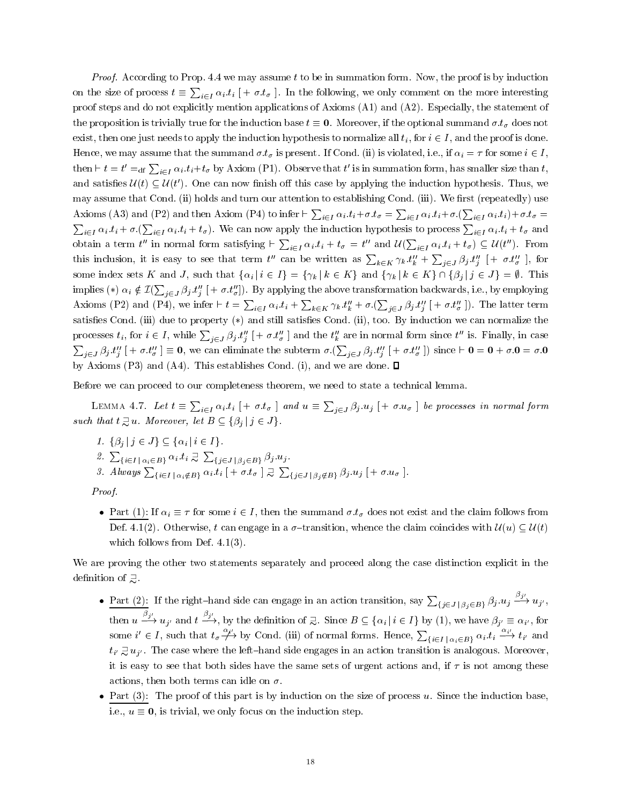*Proof.* According to Prop. 4.4 we may assume t to be in summation form. Now, the proof is by induction on the size of process  $t \equiv \sum_{i \in I} \alpha_i.t_i$   $[ + \sigma.t_\sigma ]$ . In the following, we only comment on the more interesting proof steps and do not explicitly mention applications of Axioms (A1) and (A2). Especially, the statement of the proposition is trivially true for the induction base  $t \equiv 0$ . Moreover, if the optional summand  $\sigma.t_\sigma$  does not exist, then one just needs to apply the induction hypothesis to normalize all  $t_i$ , for  $i \in I$ , and the proof is done. Hence, we may assume that the summand  $\sigma.t_{\sigma}$  is present. If Cond. (ii) is violated, i.e., if  $\alpha_i = \tau$  for some  $i \in I$ , then  $\vdash t = t' =_{\text{df}} \sum_{i \in I} \alpha_i \cdot t_i + t_\sigma$  by Axiom (P1). Observe that  $t'$  is in summation form, has smaller size than  $t$ , and satisfies  $\mathcal{U}(t) \subset \mathcal{U}(t')$ . One can now finish off this case by applying the induction hypothesis. Thus, we may assume that Cond. (ii) holds and turn our attention to establishing Cond. (iii). We first (repeatedly) use Axioms (A3) and (P2) and then Axiom (P4) to infer  $\vdash \sum_{i\in I}\alpha_i.t_i+\sigma.t_\sigma=\sum_{i\in I}\alpha_i.t_i+\sigma.(\sum_{i\in I}\alpha_i.t_i)+\sigma.t_\sigma=$  $\sum_{i\in I}\alpha_i.t_i+\sigma.\left(\sum_{i\in I}\alpha_i.t_i+t_{\sigma}\right)$ . We can now apply the induction hypothesis to process  $\sum_{i\in I}\alpha_i.t_i+t_{\sigma}$  and obtain a term t'' in normal form satisfying  $\vdash \sum_{i\in I}\alpha_i.t_i+t_\sigma = t''$  and  $\mathcal{U}(\sum_{i\in I}\alpha_i.t_i+t_\sigma) \subseteq \mathcal{U}(t'')$ . From this inclusion, it is easy to see that term t'' can be written as  $\sum_{k\in K}\gamma_k.t_k'' + \sum_{j\in J}\beta_j.t_j''$   $[+ \sigma.t_\sigma'']$ , for some index sets K and J, such that  $\{\alpha_i | i \in I\} = \{\gamma_k | k \in K\}$  and  $\{\gamma_k | k \in K\} \cap \{\beta_j | j \in J\} = \emptyset$ . This implies  $(*)$   $\alpha_i \notin \mathcal{I}(\sum_{j\in J}\beta_j.t''_j[+ \sigma.t''_ \sigma])$ . By applying the above transformation backwards, i.e., by employing Axioms (P2) and (P4), we infer  $\vdash t = \sum_{i\in I}\alpha_i.t_i + \sum_{k\in K}\gamma_k.t''_k + \sigma.(\sum_{j\in J}\beta_j.t''_j [\,+\,\sigma.t''_\sigma\,]).$  The latter term satisfies Cond. (iii) due to property (\*) and still satisfies Cond. (ii), too. By induction we can normalize the processes  $t_i$ , for  $i \in I$ , while  $\sum_{j \in J} \beta_j t''_j$   $[ + \sigma.t''_\sigma ]$  and the  $t''_k$  are in normal form since  $t''$  is. Finally, in case  $\sum_{j\in J}\beta_j.t''_j\;[+\sigma.t''_\sigma]\equiv 0,$  we can eliminate the subterm  $\sigma.\left(\sum_{j\in J}\beta_j.t''_j\;[+\sigma.t''_\sigma]\right)$  since  $\vdash 0=0+\sigma.0=\sigma.0$ by Axioms (P3) and (A4). This establishes Cond. (i), and we are done.  $\square$ 

Before we can proceed to our completeness theorem, we need to state a technical lemma.

LEMMA 4.7. Let  $t \equiv \sum_{i \in I} \alpha_i.t_i$   $[+ \sigma.t_{\sigma} ]$  and  $u \equiv \sum_{i \in J} \beta_j.u_j$   $[+ \sigma.u_{\sigma} ]$  be processes in normal form such that  $t \supsetneq u$ . Moreover, let  $B \subseteq \{\beta_i | j \in J\}$ .

1.  $\{\beta_i | j \in J\} \subseteq \{\alpha_i | i \in I\}.$ 2.  $\sum_{i\in I} \sum_{\alpha_i \in B_i} \alpha_i \cdot t_i \supsetneq \sum_{\{j\in J \mid \beta_j \in B_i\}} \beta_j \cdot u_j$ . 3. Always  $\sum_{\{i\in I \mid \alpha_i\notin B\}} a_i.t_i [ +\sigma.t_{\sigma} ] \supsetneq \sum_{\{j\in J \mid \beta_j\notin B\}} \beta_j.u_j [ +\sigma.u_{\sigma} ]$ .

Proof.

• Part (1): If  $\alpha_i \equiv \tau$  for some  $i \in I$ , then the summand  $\sigma.t_{\sigma}$  does not exist and the claim follows from Def. 4.1(2). Otherwise, t can engage in a  $\sigma$ -transition, whence the claim coincides with  $\mathcal{U}(u) \subseteq \mathcal{U}(t)$ which follows from Def.  $4.1(3)$ .

We are proving the other two statements separately and proceed along the case distinction explicit in the definition of  $\supsetneq$ .

- Part (2): If the right-hand side can engage in an action transition, say  $\sum_{\{j\in J \; | \; \beta_j \in B\}} \beta_j.u_j \stackrel{\tau}{\longrightarrow} u_{j'}$ , then  $u \stackrel{\rho_1}{\longrightarrow} u_{j'}$  and  $t \stackrel{\rho_1}{\longrightarrow}$ , by the definition of  $\supsetneq$ . Since  $B \subseteq {\alpha_i | i \in I}$  by (1), we have  $\beta_{j'} \equiv \alpha_{i'}$ , for some  $i' \in I$ , such that  $t_{\sigma} \not\longrightarrow$  by Cond. (iii) of normal forms. Hence,  $\sum_{i \in I} \sum_{|\alpha_i \in B_i} \alpha_i \cdot t_i \xrightarrow{\alpha_i} t_i$  and  $t_{i'} \nightharpoonup u_{i'}$ . The case where the left-hand side engages in an action transition is analogous. Moreover, it is easy to see that both sides have the same sets of urgent actions and, if  $\tau$  is not among these actions, then both terms can idle on  $\sigma$ .
- Part  $(3)$ : The proof of this part is by induction on the size of process u. Since the induction base, i.e.,  $u \equiv 0$ , is trivial, we only focus on the induction step.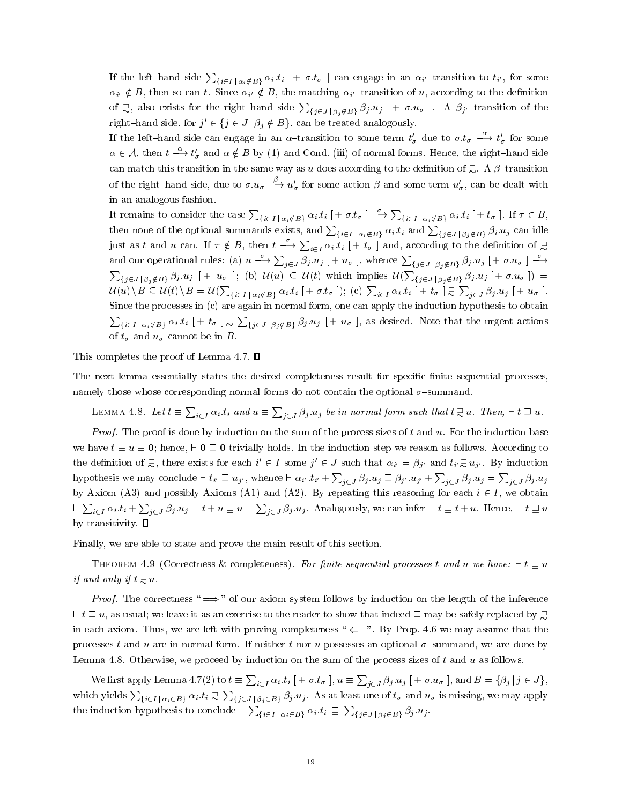If the left-hand side  $\sum_{\{i\in I\,|\,\alpha_i\notin B\}}\alpha_i.t_i$   $[+ \sigma.t_\sigma]$  can engage in an  $\alpha_{i'}$ -transition to  $t_{i'}$ , for some  $\alpha_{i'} \notin B$ , then so can t. Since  $\alpha_{i'} \notin B$ , the matching  $\alpha_{i'}$ -transition of u, according to the definition of  $\gtrsim$ , also exists for the right-hand side  $\sum_{\{j\in J \mid \beta_j\notin B\}} \beta_j.u_j$  [+  $\sigma.u_\sigma$  ]. A  $\beta_{j'}$ -transition of the right–hand side, for  $j' \in \{j \in J \mid \beta_j \notin B\}$ , can be treated analogously.

If the left-hand side can engage in an  $\alpha$ -transition to some term  $t'_{\sigma}$  due to  $\sigma.t_{\sigma} \stackrel{\alpha}{\longrightarrow} t'_{\sigma}$  for some  $\alpha \in A$ , then  $t \stackrel{\alpha}{\longrightarrow} t_{\sigma}$  and  $\alpha \notin B$  by (1) and Cond. (iii) of normal forms. Hence, the right-hand side can match this transition in the same way as u does according to the definition of  $\supsetneq$ . A  $\beta$ -transition of the right-hand side, due to  $\sigma.u_{\sigma} \stackrel{\rho}{\longrightarrow} u'_{\sigma}$  for some action  $\beta$  and some term  $u'_{\sigma}$ , can be dealt with in an analogous fashion.

It remains to consider the case  $\sum_{\{i\in I\,|\,\alpha_i\notin B\}}\alpha_i.t_i$   $[ +\sigma.t_\sigma\ ] \xrightarrow{\sim} \sum_{\{i\in I\,|\,\alpha_i\notin B\}}\alpha_i.t_i$   $[ +t_\sigma\ ].$  If  $\tau\in B$ , then none of the optional summands exists, and  $\sum_{\{i\in I\;|\;\alpha_i\notin B\}}\alpha_i.t_i$  and  $\sum_{\{j\in J\;|\;\beta_j\notin B\}}\beta_i.u_j$  can idle just as t and u can. If  $\tau \notin B$ , then  $t \stackrel{o}{\longrightarrow} \sum_{i \in I} \alpha_i.t_i$   $[ +t_\sigma ]$  and, according to the definition of  $\supsetneq$ and our operational rules: (a)  $u\stackrel{o}{\longrightarrow}\sum_{j\in J}\beta_j.u_j$   $[+u_\sigma$  ], whence  $\sum_{\{j\in J\,|\,\beta_j\notin B\}}\beta_j.u_j$   $[+ \sigma.u_\sigma$   $]\stackrel{o}{\longrightarrow}$  $\sum_{\{j\in J\,|\,\beta_j\notin B\}}\beta_j.u_j$   $[+u_\sigma]$ ; (b)  $\mathcal{U}(u)\subseteq \mathcal{U}(t)$  which implies  $\mathcal{U}(\sum_{\{j\in J\,|\,\beta_j\notin B\}}\beta_j.u_j$   $[+ \sigma.u_\sigma]$ ) =  $\mathcal{U}(u)\setminus B\subseteq \mathcal{U}(t)\setminus B=\mathcal{U}(\sum_{\{i\in I\,|\,\alpha_i\notin B\}}\alpha_i.t_i~[+{\it\sigma.t_{\sigma}}\,|);~(\mathrm{c})\,\sum_{i\in I}\alpha_i.t_i~[+t_{\sigma}\,|\,\exists\,\sum_{j\in J}\beta_j.u_j~[+u_{\sigma}\,].$ Since the processes in (c) are again in normal form, one can apply the induction hypothesis to obtain  $\sum_{i\in I} \sum_{\alpha_i \notin B} a_i.t_i$   $[ +t_\sigma ] \supsetneq \sum_{\{j\in J \mid \beta_j \notin B\}} \beta_j.u_j [ +u_\sigma ],$  as desired. Note that the urgent actions of  $t_{\sigma}$  and  $u_{\sigma}$  cannot be in B.

This completes the proof of Lemma 4.7.  $\square$ 

The next lemma essentially states the desired completeness result for specific finite sequential processes, namely those whose corresponding normal forms do not contain the optional  $\sigma$ -summand.

LEMMA 4.8. Let  $t \equiv \sum_{i \in I} \alpha_i.t_i$  and  $u \equiv \sum_{j \in J} \beta_j.u_j$  be in normal form such that  $t \supsetneq u$ . Then,  $\vdash t \sqsupseteq u$ .

*Proof.* The proof is done by induction on the sum of the process sizes of  $t$  and  $u$ . For the induction base we have  $t \equiv u \equiv 0$ ; hence,  $\vdash 0 \sqsupseteq 0$  trivially holds. In the induction step we reason as follows. According to the definition of  $\exists$ , there exists for each  $i' \in I$  some  $j' \in J$  such that  $\alpha_{i'} = \beta_{j'}$  and  $t_{i'} \exists u_{j'}$ . By induction hypothesis we may conclude  $\vdash t_{i'} \sqsupseteq u_{j'}$ , whence  $\vdash \alpha_{i'} .t_{i'} + \sum_{j\in J}\beta_j .u_j \sqsupseteq \beta_{j'} .u_{j'} + \sum_{j\in J}\beta_j .u_j = \sum_{j\in J}\beta_j .u_j$ by Axiom (A3) and possibly Axioms (A1) and (A2). By repeating this reasoning for each  $i \in I$ , we obtain  $\vdash \sum_{i\in I}\alpha_i.t_i + \sum_{j\in J}\beta_j.u_j = t + u\sqsupseteq u = \sum_{j\in J}\beta_j.u_j$ . Analogously, we can infer  $\vdash t \sqsupseteq t + u$ . Hence,  $\vdash t \sqsupseteq u$ by transitivity.  $\square$ 

Finally, we are able to state and prove the main result of this section.

THEOREM 4.9 (Correctness & completeness). For finite sequential processes t and u we have:  $\vdash t \sqsupseteq u$ if and only if  $t \gtrsim u$ .

*Proof.* The correctness " $\implies$ " of our axiom system follows by induction on the length of the inference  $\vdash t \sqsupseteq u$ , as usual; we leave it as an exercise to the reader to show that indeed  $\sqsupset$  may be safely replaced by  $\sqsupseteq$ in each axiom. Thus, we are left with proving completeness " $\leftarrow$ ". By Prop. 4.6 we may assume that the processes t and u are in normal form. If neither t nor u possesses an optional  $\sigma$ -summand, we are done by Lemma 4.8. Otherwise, we proceed by induction on the sum of the process sizes of  $t$  and  $u$  as follows.

We first apply Lemma 4.7(2) to  $t\equiv\sum_{i\in I}\alpha_i.t_i$   $[+$   $\sigma.t_\sigma$   $],$   $u\equiv\sum_{i\in J}\beta_j.u_j$   $[+$   $\sigma.u_\sigma$   $],$  and  $B$   $=$   $\{\beta_j\,|\,j\in J\},$ which yields  $\sum_{\{i\in I\,|\,\alpha_i\in B\}} a_i\cdot t_i\gtrsim \sum_{\{j\in J\,|\,\beta_j\in B\}}\beta_j\cdot u_j.$  As at least one of  $t_\sigma$  and  $u_\sigma$  is missing, we may apply the induction hypothesis to conclude  $\vdash \sum_{\{i\in I\,|\,\alpha_i\in B\}}\alpha_i.t_i\ \sqsupseteq\ \sum_{\{j\in J\,|\,\beta_j\in B\}}\beta_j.u_j.$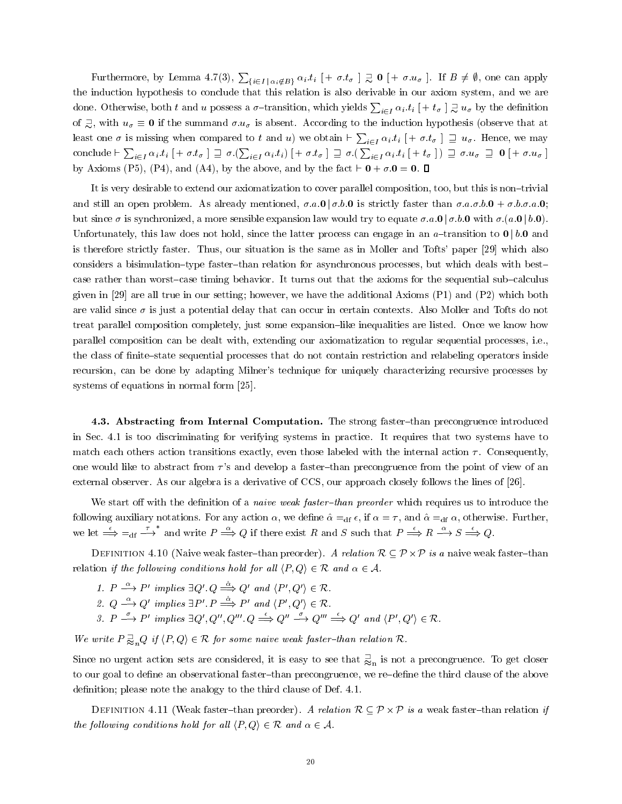Furthermore, by Lemma 4.7(3),  $\sum_{\{i\in I\,|\,\alpha_i\notin B\}}\alpha_i.t_i$   $[+ \sigma.t_{\sigma} \,]\,\supseteq\,0$   $[+ \sigma.u_{\sigma} \,]$ . If  $B\neq\emptyset$ , one can apply the induction hypothesis to conclude that this relation isalso derivable in our axiom system, and we are done. Otherwise, both  $t$  and  $u$  possess a  $\sigma$ -transition, which yields  $\sum_{i\in I}\alpha_i.t_i$   $[+t_\sigma$   $]\gtrsim u_\sigma$  by the definition of  $\overline{z}$ , with  $u_{\sigma} \equiv 0$  if the summand  $\sigma u_{\sigma}$  is absent. According to the induction hypothesis (observe that at least one  $\sigma$  is missing when compared to t and u) we obtain  $\vdash \sum_{i\in I}\alpha_i.t_i$   $[ +\sigma.t_\sigma ]\supseteq u_\sigma$ . Hence, we may conclude  $\vdash \sum_{i\in I}\alpha_i\cdot t_i \;[+\sigma.t_\sigma\;]\;\sqsupseteq\sigma\,(\sum_{i\in I}\alpha_i\cdot t_i) \;[+\sigma.t_\sigma\;]\;\sqsupseteq\sigma\,(\sum_{i\in I}\alpha_i\cdot t_i \;[+\,t_\sigma\;])\;\sqsupseteq\sigma.u_\sigma\;\sqsupseteq\,\mathbf{0}\;[+\,\sigma.u_\sigma\;]\;$ by Axioms (P5), (P4), and (A4), by the above, and by the fact  $\vdash$  0 +  $\sigma$ .0 = 0.  $\Box$ 

It is very desirable to extend our axiomatization to cover parallel composition, too, but this is non-trivial and still an open problem. As already mentioned,  $\sigma.a.0 \mid \sigma.b.0$  is strictly faster than  $\sigma.a. \sigma.b.0 + \sigma.b. \sigma.a.0$ ; but since  $\sigma$  is synchronized, a more sensible expansion law would try to equate  $\sigma.a.0 | \sigma.b.0$  with  $\sigma.(a.0 | b.0)$ . Unfortunately, this law does not hold, since the latter process can engage in an  $a$ -transition to  $0 \mid b.0$  and is therefore strictly faster. Thus, our situation is the same as in Moller and Tofts' paper [29] which also considers a bisimulation-type faster-than relation for asynchronous processes, but which deals with bestcase rather than worst-case timing behavior. It turns out that the axioms for the sequential sub-calculus given in [29] are all true in our setting; however, we have the additional Axioms (P1) and (P2) which both are valid since  $\sigma$  is just a potential delay that can occur in certain contexts. Also Moller and Tofts do not treat parallel composition completely, just some expansion-like inequalities are listed. Once we know how parallel composition can be dealt with, extending our axiomatization to regular sequential processes, i.e., the class of finite–state sequential processes that do not contain restriction and relabeling operators inside recursion, can be done by adapting Milner's technique for uniquely characterizing recursive processes by systems of equations in normal form [25].

4.3. Abstracting from Internal Computation. The strong faster-than precongruence introduced in Sec. 4.1 is too discriminating for verifying systems in practice. It requires that two systems have to match each others action transitions exactly, even those labeled with the internal action  $\tau$ . Consequently, one would like to abstract from  $\tau$ 's and develop a faster-than precongruence from the point of view of an external observer. As our algebra is a derivative of CCS, our approach closely follows the lines of [26].

We start off with the definition of a *naive weak faster-than preorder* which requires us to introduce the following auxiliary notations. For any action  $\alpha$ , we define  $\hat{\alpha} =_{df} \epsilon$ , if  $\alpha = \tau$ , and  $\hat{\alpha} =_{df} \alpha$ , otherwise. Further, we let  $\stackrel{\epsilon}{\Longrightarrow} =_{df} \stackrel{\tau}{\longrightarrow}^*$  and write  $P \stackrel{\alpha}{\Longrightarrow} Q$  if there exist R and S such that  $P \stackrel{\epsilon}{\Longrightarrow} R \stackrel{\alpha}{\longrightarrow} S \stackrel{\epsilon}{\Longrightarrow} Q$ .

Definition 4.10 (Naive weak faster{than preorder). A relation R P-<sup>P</sup> is a naive weak faster{than relation if the following conditions hold for all  $\langle P, Q \rangle \in \mathcal{R}$  and  $\alpha \in \mathcal{A}$ .

- 1.  $P \longrightarrow P'$  implies  $\exists Q' \ Q \Longrightarrow Q'$  and  $\langle P', Q' \rangle \in \mathcal{R}$ .
- 2.  $Q \stackrel{\alpha}{\longrightarrow} Q'$  implies  $\exists P' \cdot P \stackrel{\hat{\alpha}}{\Longrightarrow} P'$  and  $\langle P', Q' \rangle \in \mathcal{R}$ .
- 3.  $P \xrightarrow{\sim} P'$  implies  $\exists Q', Q'', Q''', Q \xrightarrow{\leftarrow} Q'' \xrightarrow{\sim} Q''' \xrightarrow{\leftarrow} Q'$  and  $\langle P', Q' \rangle \in \mathcal{R}$ .

We write  $P \gtrsim_n Q$  if  $\langle P, Q \rangle \in \mathcal{R}$  for some naive weak faster-than relation  $\mathcal{R}$ .

Since no urgent action sets are considered, it is easy to see that  $\frac{1}{\infty}$  is not a precongruence. To get closer to our goal to define an observational faster-than precongruence, we re-define the third clause of the above definition; please note the analogy to the third clause of Def. 4.1.

Definition 4.11 (Weak faster{than preorder). A relation RP-<sup>P</sup> is a weak faster{than relation if the following conditions hold for all  $\langle P, Q \rangle \in \mathcal{R}$  and  $\alpha \in \mathcal{A}$ .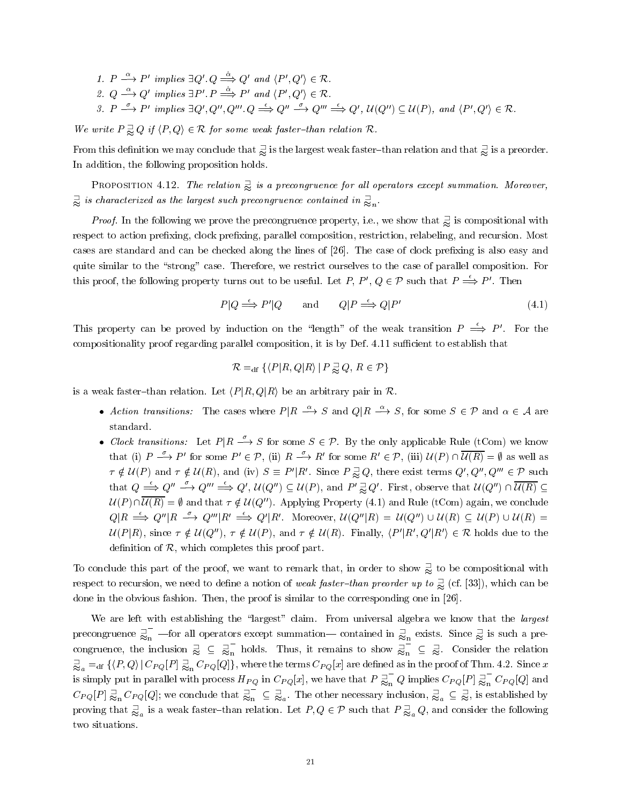- 1.  $P \longrightarrow P'$  implies  $\exists Q' \ Q \Longrightarrow Q'$  and  $\langle P', Q' \rangle \in \mathcal{R}$ .
- 2.  $Q \stackrel{\alpha}{\longrightarrow} Q'$  implies  $\exists P' \ldotp P \stackrel{\hat{\alpha}}{\Longrightarrow} P'$  and  $\langle P', Q' \rangle \in \mathcal{R}$ .
- 3.  $P \xrightarrow{\circ} P'$  implies  $\exists Q', Q'', Q'''' \cdot Q \xrightarrow{\leftarrow} Q'' \xrightarrow{\circ} Q'' \xrightarrow{\leftarrow} Q', U(Q'') \subseteq U(P)$ , and  $\langle P', Q' \rangle \in \mathcal{R}$ .

We write  $P \supsetneq Q$  if  $\langle P, Q \rangle \in \mathcal{R}$  for some weak faster-than relation  $\mathcal{R}$ .

From this definition we may conclude that  $\frac1\infty$  is the largest weak faster–than relation and that  $\frac1\infty$  is a preorder. In addition, the following proposition holds.

PROPOSITION 4.12. The relation  $\supsetneq$  is a precongruence for all operators except summation. Moreover,  $\mathbb{\supseteq}$  is characterized as the largest such precongruence contained in  $\mathbb{\supseteq}_n$ .

**Proof.** In the following we prove the precongruence property, i.e., we show that  $\frac{1}{\infty}$  is compositional with respect to action prefixing, clock prefixing, parallel composition, restriction, relabeling, and recursion. Most cases are standard and can be checked along the lines of [26]. The case of clock prefixing is also easy and quite similar to the "strong" case. Therefore, we restrict ourselves to the case of parallel composition. For this proof, the following property turns out to be useful. Let P,  $P', Q \in \mathcal{P}$  such that  $P \stackrel{\epsilon}{\Longrightarrow} P'$ . Then

$$
P|Q \stackrel{\epsilon}{\Longrightarrow} P'|Q \quad \text{and} \quad Q|P \stackrel{\epsilon}{\Longrightarrow} Q|P' \tag{4.1}
$$

This property can be proved by induction on the "length" of the weak transition  $P \stackrel{\epsilon}{\Rightarrow} P'$ . For the compositionality proof regarding parallel composition, it is by Def. 4.11 sufficient to establish that

$$
\mathcal{R} =_{\text{df}} \{ \langle P | R, Q | R \rangle \, | \, P \gtrapprox Q, \, R \in \mathcal{P} \}
$$

is a weak faster-than relation. Let  $\langle P|R, Q|R \rangle$  be an arbitrary pair in R.

- Action transitions: The cases where  $P|R \stackrel{\alpha}{\longrightarrow} S$  and  $Q|R \stackrel{\alpha}{\longrightarrow} S$ , for some  $S \in \mathcal{P}$  and  $\alpha \in \mathcal{A}$  are standard.
- Clock transitions: Let  $P | R \stackrel{\sigma}{\longrightarrow} S$  for some  $S \in \mathcal{P}$ . By the only applicable Rule (tCom) we know that (i)  $P \xrightarrow{\sim} P'$  for some  $P' \in \mathcal{P}$ , (ii)  $R \xrightarrow{\sim} R'$  for some  $R' \in \mathcal{P}$ , (iii)  $\mathcal{U}(P) \cap \mathcal{U}(R) = \emptyset$  as well as  $\tau \notin \mathcal{U}(P)$  and  $\tau \notin \mathcal{U}(R)$ , and (iv)  $S \equiv P'|R'$ . Since  $P \gtrapprox Q$ , there exist terms  $Q', Q'', Q''' \in \mathcal{P}$  such that  $Q \stackrel{\epsilon}{\Longrightarrow} Q'' \stackrel{\sigma}{\Longrightarrow} Q''' \stackrel{\epsilon}{\Longrightarrow} Q', \mathcal{U}(Q'') \subseteq \mathcal{U}(P)$ , and  $P' \gtrapprox Q'$ . First, observe that  $\mathcal{U}(Q'') \cap \mathcal{U}(R) \subseteq$  $U(P) \cap \overline{U(R)} = \emptyset$  and that  $\tau \notin U(Q'')$ . Applying Property (4.1) and Rule (tCom) again, we conclude  $Q|R \stackrel{\epsilon}{\Longrightarrow} Q''|R \stackrel{\sigma}{\Longrightarrow} Q'''|R' \stackrel{\epsilon}{\Longrightarrow} Q'|R'$ . Moreover,  $\mathcal{U}(Q''|R) = \mathcal{U}(Q'') \cup \mathcal{U}(R) \subseteq \mathcal{U}(P) \cup \mathcal{U}(R) =$  $U(P|R)$ , since  $\tau \notin U(Q'')$ ,  $\tau \notin U(P)$ , and  $\tau \notin U(R)$ . Finally,  $\langle P'|R', Q'|R'\rangle \in \mathcal{R}$  holds due to the definition of  $R$ , which completes this proof part.

To conclude this part of the proof, we want to remark that, in order to show  $\geqslant$  to be compositional with respect to recursion, we need to define a notion of *weak faster–than preorder up to*  $\gtreqless$  (cf. [33]), which can be done in the obvious fashion. Then, the proof is similar to the corresponding one in [26].

We are left with establishing the "largest" claim. From universal algebra we know that the largest precongruence  $\frac{1}{\approx}$  —for all op  $\frac{1}{n}$  -for all operators except summation-contained in  $\frac{1}{\approx}$  exists. Since  $\frac{1}{\approx}$  is such a precongruence, the inclusion  $\supsetneq \subseteq \supsetneq_n$  holds. Th n holds. Thus, it remains to show  $\overline{\mathbb{R}}_n \subseteq \overline{\mathbb{R}}$ . Co  $\overline{\phantom{a}}_n \subseteq \overline{\phantom{a}}_n$  Consider the relation  $\Rightarrow_{\approx_a} =$  af  $\{\bra{P,Q}\ket{C_{PQ}[P]}\Rightarrow_{\approx_b} C_{PQ}[Q]\},$  where the terms  $C_{PQ}[x]$  are defined as in the proof of Thm. 4.2. Since  $x$ is simply put in parallel with process  $H_{PQ}$  in  $C_{PQ}[x]$ , we have that  $P \gtrapprox_{\text{n}} Q$  implies  $C$  $\frac{1}{n} Q$  implies  $C_{PQ}[P] \gtrapprox_{n}^{\infty} C_{PQ}[Q]$  and  $\int_{\mathbf{n}}^{\mathbf{\tau}} C_{PQ}[Q]$  and  $C_{PQ}[P] \gtrapprox_{\text{n}} C_{PQ}[Q];$  we conclude that  $\overline{\gtrapprox_{\text{n}}} \subseteq \overline{\gtrapprox}_{a}$ . The  $\frac{1}{n} \subseteq \frac{1}{\infty}$ . The other necessary inclusion,  $\frac{1}{\infty}$   $\subseteq \frac{1}{\infty}$ , is established by proving that  $\overline{\Xi}_a$  is a weak faster-than relation. Let  $P,Q\in\mathcal{P}$  such that  $P\,\overline{\Xi}_a\,Q,$  and consider the following two situations.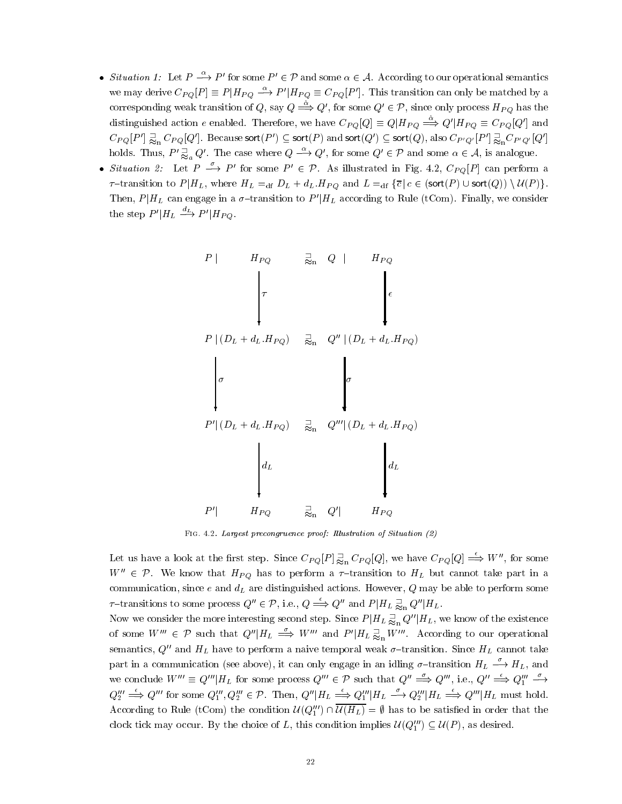- Situation 1: Let  $P \stackrel{\alpha}{\longrightarrow} P'$  for some  $P' \in \mathcal{P}$  and some  $\alpha \in \mathcal{A}$ . According to our operational semantics we may derive  $C_{PO}[P] \equiv P|H_{PO} \stackrel{\alpha}{\longrightarrow} P'|H_{PO} \equiv C_{PO}[P']$ . This transition can only be matched by a corresponding weak transition of Q, say  $Q \stackrel{\hat{\alpha}}{\Longrightarrow} Q'$ , for some  $Q' \in \mathcal{P}$ , since only process  $H_{PQ}$  has the distinguished action e enabled. Therefore, we have  $C_{PO}[Q] \equiv Q|H_{PO} \stackrel{\alpha}{\Longrightarrow} Q'|H_{PO} \equiv C_{PO}[Q']$  and  $C_{PQ}[P']\gtrapprox_\mathrm{n} C_{PQ}[Q']$ . Because sort $(P')\subseteq$  sort $(P)$  and sort $(Q')\subseteq$  sort $(Q)$ , also  $C_{P'Q'}[P']\gtrapprox_\mathrm{n} C_{P'Q'}[Q']$ holds. Thus,  $P' \gtrapprox_a Q'$ . The case where  $Q \stackrel{\alpha}{\longrightarrow} Q'$ , for some  $Q' \in \mathcal{P}$  and some  $\alpha \in \mathcal{A}$ , is analogue.
- Situation 2: Let  $P \stackrel{\circ}{\longrightarrow} P'$  for some  $P' \in \mathcal{P}$ . As illustrated in Fig. 4.2,  $C_{PQ}[P]$  can perform a  $\tau$ -transition to  $P|H_L$ , where  $H_L =_{df} D_L + d_L \cdot H_{PQ}$  and  $L =_{df} {\overline{c} | c \in (sort(P) \cup sort(Q)) \setminus U(P)}$ . Then,  $P|H_L$  can engage in a  $\sigma$ -transition to  $P'|H_L$  according to Rule (tCom). Finally, we consider the step  $P'|H_L \stackrel{a_L}{\longrightarrow} P'|H_{PO}$ .



FIG. 4.2. Largest precongruence proof: Illustration of Situation (2)

Let us have a look at the first step. Since  $C_{PQ}[P]\equiv_{\text{on}}^{\text{I}} C_{PQ}[Q]$ , we have  $C_{PQ}[Q] \Longrightarrow W''$ , for some  $W'' \in \mathcal{P}$ . We know that  $H_{PQ}$  has to perform a  $\tau$ -transition to  $H_L$  but cannot take part in a communication, since e and  $d_L$  are distinguished actions. However, Q may be able to perform some  $\tau$ -transitions to some process  $Q'' \in \mathcal{P}$ , i.e.,  $Q \stackrel{\epsilon}{\Longrightarrow} Q''$  and  $P|H_L \gtrapprox_{\text{n}} Q''|H_L$ .

Now we consider the more interesting second step. Since  $P|H_L \gtrapprox_\mathrm{n} Q''|H_L,$  we know of the existence of some  $W''' \in \mathcal{P}$  such that  $Q''|H_L \implies W'''$  and  $P'|H_L \gtrapprox_n W'''$ . According to our operational semantics,  $Q''$  and  $H_L$  have to perform a naive temporal weak  $\sigma$ -transition. Since  $H_L$  cannot take part in a communication (see above), it can only engage in an idling  $\sigma$ -transition  $H_L \longrightarrow H_L$ , and we conclude  $W''' \equiv Q'''/H_L$  for some process  $Q''' \in \mathcal{P}$  such that  $Q'' \stackrel{\simeq}{\Longrightarrow} Q'''$ , i.e.,  $Q'' \stackrel{\simeq}{\Longrightarrow} Q'''_1 \stackrel{\simeq}{\longrightarrow}$  $Q_2''' \Longrightarrow Q$  $\Rightarrow Q'''$  for some  $Q'''_1, Q'''_2 \in \mathcal{P}$ . Then,  $Q''|H_L \Rightarrow Q'''_1|H_L \rightarrow Q'''_2|H_L \Rightarrow Q'''|H_L$  must hold. According to Rule (tCom) the condition  $\mathcal{U}(Q_1''') \cap \mathcal{U}(H_L) = \emptyset$  has to be satisfied in order that the clock tick may occur. By the choice of L, this condition implies  $\mathcal{U}(Q_1''') \subseteq \mathcal{U}(P)$ , as desired.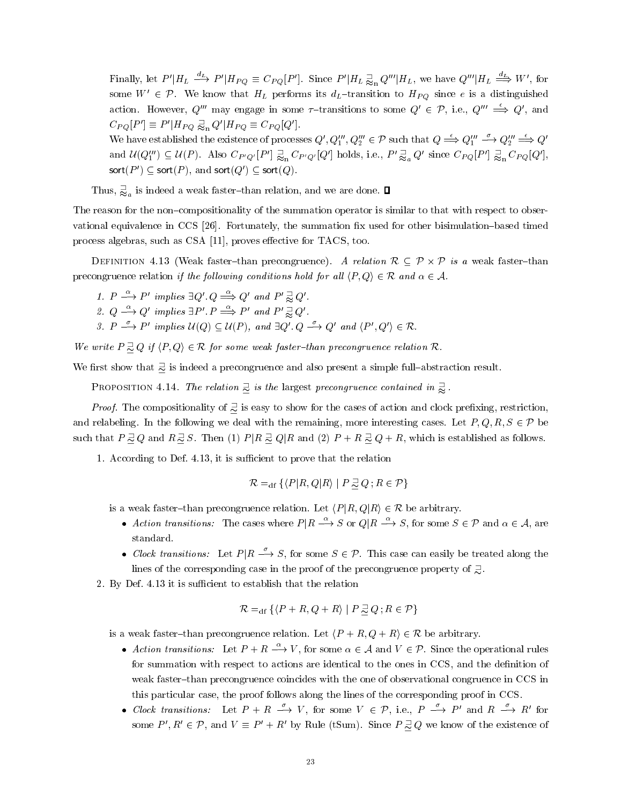Finally, let  $P'|H_L \stackrel{a_L}{\longrightarrow} P'|H_{PQ} \equiv C_{PQ}[P']$ . Since  $P'|H_L \gtrsim_{\rm n} Q'''|H_L$ , we have  $Q'''|H_L \stackrel{a_L}{\Longrightarrow} W'$ , for some  $W' \in \mathcal{P}$ . We know that  $H_L$  performs its  $d_L$ -transition to  $H_{PQ}$  since e is a distinguished action. However,  $Q'''$  may engage in some  $\tau$ -transitions to some  $Q' \in \mathcal{P}$ , i.e.,  $Q''' \stackrel{\epsilon}{\implies} Q'$ , and  $C_{PQ}[P'] \equiv P'|H_{PQ} \gtrapprox_{n} Q'|H_{PQ} \equiv C_{PQ}[Q'].$ 

We have established the existence of processes  $Q', Q''_1, Q'''_2 \in \mathcal{P}$  such that  $Q \stackrel{\epsilon}{\Longrightarrow} Q'''_1 \stackrel{\epsilon}{\Longrightarrow} Q''_2 \stackrel{\epsilon}{\Longrightarrow} Q'$ and  $\mathcal{U}(Q_1''') \subseteq \mathcal{U}(P)$ . Also  $C_{P'Q'}[P'] \gtrapprox_{\mathbf{n}} C_{P'Q'}[Q']$  holds, i.e.,  $P' \gtrapprox_{a} Q'$  since  $C_{PQ}[P'] \gtrapprox_{\mathbf{n}} C_{PQ}[Q'],$ sort( $P'$ )  $\subseteq$  sort( $P$ ), and sort( $Q'$ )  $\subseteq$  sort( $Q$ ).

Thus, 
$$
\frac{1}{\infty}
$$
 is indeed a weak faster—than relation, and we are done.  $\Box$ 

The reason for the non-compositionality of the summation operator is similar to that with respect to observational equivalence in CCS [26]. Fortunately, the summation fix used for other bisimulation–based timed process algebras, such as CSA  $[11]$ , proves effective for TACS, too.

Definition 4.13 (Weak faster{than precongruence). A relation <sup>R</sup> P-<sup>P</sup> is a weak faster{than precongruence relation if the following conditions hold for all  $\langle P, Q \rangle \in \mathcal{R}$  and  $\alpha \in \mathcal{A}$ .

- 1.  $P \stackrel{\alpha}{\longrightarrow} P'$  implies  $\exists Q' \ Q \stackrel{\alpha}{\Longrightarrow} Q'$  and  $P' \gtrapprox Q'$ .
- 2.  $Q \stackrel{\alpha}{\longrightarrow} Q'$  implies  $\exists P'$ .  $P \stackrel{\alpha}{\Longrightarrow} P'$  and  $P' \gtrapprox Q'$ .

and a second contract of the contract of the contract of the contract of the contract of the contract of the contract of the contract of the contract of the contract of the contract of the contract of the contract of the c

3.  $P \xrightarrow{\sim} P'$  implies  $\mathcal{U}(Q) \subseteq \mathcal{U}(P)$ , and  $\exists Q' \ Q \xrightarrow{\sim} Q'$  and  $\langle P', Q' \rangle \in \mathcal{R}$ .

We write  $P \supseteq Q$  if  $\langle P, Q \rangle \in \mathcal{R}$  for some weak faster-than precongruence relation  $\mathcal{R}$ .

We first show that  $\frac{1}{\infty}$  is indeed a precongruence and also present a simple full-abstraction result.

PROPOSITION 4.14. The relation  $\frac{1}{\infty}$  is the largest precongruence contained in  $\frac{1}{\infty}$ .

*Proof.* The compositionality of  $\supseteq$  is easy to show for the cases of action and clock prefixing, restriction, and relabeling. In the following we deal with the remaining, more interesting cases. Let  $P, Q, R, S \in \mathcal{P}$  be such that  $P \supseteq Q$  and  $R \supseteq S$ . Then (1)  $P|R \supseteq Q|R$  and (2)  $P+R \supseteq Q+R$ , which is established as follows.

1. According to Def. 4.13, it is sufficient to prove that the relation

$$
\mathcal{R} =_{\text{df}} \{ \langle P | R, Q | R \rangle \mid P \supseteq Q \, ; R \in \mathcal{P} \}
$$

is a weak faster-than precongruence relation. Let  $\langle P | R, Q | R \rangle \in \mathcal{R}$  be arbitrary.

- Action transitions: The cases where  $P|R \stackrel{\alpha}{\longrightarrow} S$  or  $Q|R \stackrel{\alpha}{\longrightarrow} S$ , for some  $S \in \mathcal{P}$  and  $\alpha \in \mathcal{A}$ , are standard.
- Clock transitions: Let  $P|R \stackrel{\sigma}{\longrightarrow} S$ , for some  $S \in \mathcal{P}$ . This case can easily be treated along the lines of the corresponding case in the proof of the precongruence property of  $\exists$ .
- 2. By Def. 4.13 it is sufficient to establish that the relation

$$
\mathcal{R} =_{\text{df}} \{ \langle P + R, Q + R \rangle \mid P \supseteq Q \, ; R \in \mathcal{P} \}
$$

is a weak faster-than precongruence relation. Let  $\langle P + R, Q + R \rangle \in \mathcal{R}$  be arbitrary.

- Action transitions: Let  $P + R \stackrel{\alpha}{\longrightarrow} V$ , for some  $\alpha \in \mathcal{A}$  and  $V \in \mathcal{P}$ . Since the operational rules for summation with respect to actions are identical to the ones in CCS, and the definition of weak faster-than precongruence coincides with the one of observational congruence in CCS in this particular case, the proof follows along the lines of the corresponding proof in CCS.
- Clock transitions: Let  $P + R \xrightarrow{\sim} V$ , for some  $V \in \mathcal{P}$ , i.e.,  $P \xrightarrow{\sim} P'$  and  $R \xrightarrow{\sim} R'$  for some  $P', R' \in \mathcal{P}$ , and  $V \equiv P' + R'$  by Rule (tSum). Since  $P \supseteq Q$  we know of the existence of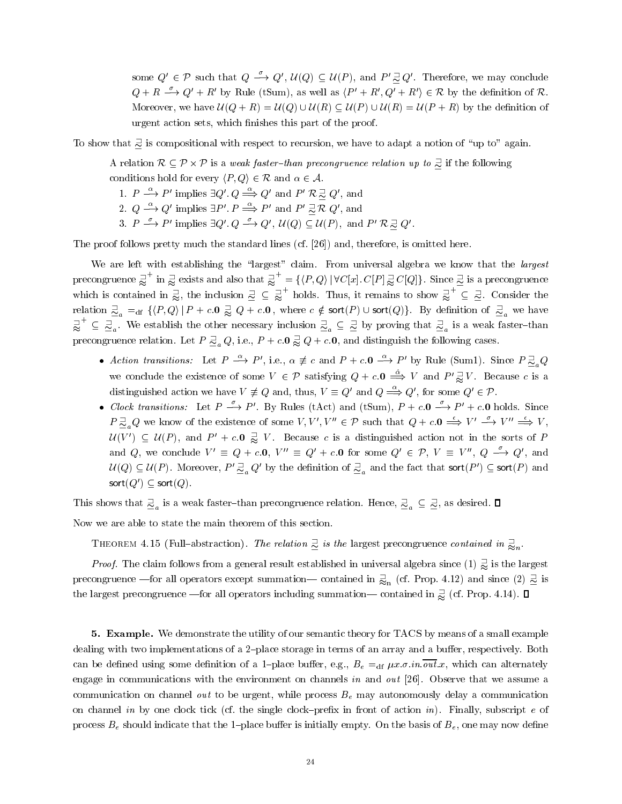some  $Q' \in \mathcal{P}$  such that  $Q \xrightarrow{\sigma} Q'$ ,  $\mathcal{U}(Q) \subseteq \mathcal{U}(P)$ , and  $P' \supseteq Q'$ . Therefore, we may conclude  $Q + R \stackrel{\sigma}{\longrightarrow} Q' + R'$  by Rule (tSum), as well as  $\langle P' + R', Q' + R' \rangle \in \mathcal{R}$  by the definition of  $\mathcal{R}$ . Moreover, we have  $\mathcal{U}(Q + R) = \mathcal{U}(Q) \cup \mathcal{U}(R) \subseteq \mathcal{U}(P) \cup \mathcal{U}(R) = \mathcal{U}(P + R)$  by the definition of urgent action sets, which finishes this part of the proof.

To show that  $\frac{1}{\infty}$  is compositional with respect to recursion, we have to adapt a notion of "up to" again.

A relation  $\mathcal{R} \subseteq \mathcal{P} \times \mathcal{P}$  is a weak faster-than precongruence relation up to  $\supsetneq$  if the following conditions hold for every  $\langle P, Q \rangle \in \mathcal{R}$  and  $\alpha \in \mathcal{A}$ .

- 1.  $P \longrightarrow P'$  implies  $\exists Q' \ Q \Longrightarrow Q'$  and  $P' R \supseteq Q'$ , and
- 2.  $Q \stackrel{\alpha}{\longrightarrow} Q'$  implies  $\exists P' \cdot P \stackrel{\alpha}{\Longrightarrow} P'$  and  $P' \stackrel{\supset}{\approx} R Q'$ , and
- 3.  $P \stackrel{o}{\longrightarrow} P'$  implies  $\exists Q' \ldotp Q \stackrel{o}{\longrightarrow} Q', \; \mathcal{U}(Q) \subseteq \mathcal{U}(P)$ , and  $P' \mathcal{R} \stackrel{\supset}{\sim} Q'$ .

The proof follows pretty much the standard lines (cf. [26]) and, therefore, is omitted here.

We are left with establishing the "largest" claim. From universal algebra we know that the *largest* precongruence  $\gtrapprox$  ' in  $\gtrapprox$  exists  $\lim_{n \to \infty} \frac{1}{n}$  exists and also that  $\frac{1}{n} = \{ \langle P, Q \rangle \mid$ precongruence  $\overline{\precsim}$  ' in  $\overline{\precsim}$  exists and also that  $\overline{\precsim}$  ' = { $\langle P, Q \rangle$  |  $\forall C[x]$ .  $C[P] \overline{\precsim} C[Q]$ }. Since  $\overline{\precsim}$  is a precongruence which is contained in  $\overline{\precsim}$ , the inclusion  $\overline{\precsim} \subseteq \overline{\precsim$ holds. Thus, it remains to show  $\supsetneq$   $\subseteq$   $\supsetneq$ . Con  $\subseteq \exists$ . Consider the relation  $\frac{\beth}{\simeq_a} =_{\text{df}} \{ \langle P, Q \rangle \, | \, P + c.0 \gtrapprox Q + c.0 \, , \text{ where } c \notin \text{sort}(P) \cup \text{sort}(Q) \}.$  By definition of  $\frac{\beth}{\simeq_a}$  we have  $\stackrel{\sqsupset}{\approx}^{\!\!\!\!\!\sim} \ \subseteq \ \stackrel{\sqsupset}{\simeq}_a.$  We  $\leq \underline{\mathbb{Z}}_a$ . We establish the other necessary inclusion  $\overline{\mathbb{Z}}_a \subseteq \underline{\mathbb{Z}}$  by proving that  $\overline{\mathbb{Z}}_a$  is a weak faster-than precongruence relation. Let  $P \sqsupseteq_a Q$ , i.e.,  $P + c.0 \precsim Q + c.0$ , and distinguish the following cases.

- Action transitions: Let  $P \stackrel{\alpha}{\longrightarrow} P'$ , i.e.,  $\alpha \not\equiv c$  and  $P + c.0 \stackrel{\alpha}{\longrightarrow} P'$  by Rule (Sum1). Since  $P \supseteq_a Q$ we conclude the existence of some  $V \in \mathcal{P}$  satisfying  $Q + c \cdot \mathbf{0} \stackrel{\alpha}{\implies} V$  and  $P' \gtrapprox V$ . Because c is a distinguished action we have  $V \neq Q$  and, thus,  $V \equiv Q'$  and  $Q \stackrel{\alpha}{\Longrightarrow} Q'$ , for some  $Q' \in \mathcal{P}$ .
- Clock transitions: Let  $P \longrightarrow P'$ . By Rules (tAct) and (tSum),  $P + c \cdot 0 \longrightarrow P' + c \cdot 0$  holds. Since  $P\supseteq_{\alpha} Q$  we know of the existence of some  $V, V', V'' \in \mathcal{P}$  such that  $Q + c \cdot 0 \Longrightarrow V' \stackrel{\epsilon}{\Longrightarrow} V'' \Longrightarrow V,$  $\mathcal{U}(V') \subseteq \mathcal{U}(P)$ , and  $P' + c.0 \geq V$ . Because c is a distinguished action not in the sorts of P and Q, we conclude  $V' \equiv Q + c \cdot 0$ ,  $V'' \equiv Q' + c \cdot 0$  for some  $Q' \in \mathcal{P}$ ,  $V \equiv V'', Q \stackrel{\sigma}{\longrightarrow} Q'$ , and  $\mathcal{U}(Q)\subseteq \mathcal{U}(P).$  Moreover,  $P'\sqsupseteq_a Q'$  by the definition of  $\sqsupseteq_a$  and the fact that sort $(P')\subseteq$  sort $(P)$  and sort $(Q') \subseteq$  sort $(Q)$ .

This shows that  $\frac{1}{n_a}$  is a weak faster-than precongruence relation. Hence,  $\frac{1}{n_a} \subseteq \frac{1}{n_a}$ , as desired.  $\square$ 

Now we are able to state the main theorem of this section.

THEOREM 4.15 (Full-abstraction). The relation  $\supseteq$  is the largest precongruence contained in  $\supseteq_{n}$ .

no estable a construction of the construction of the construction of the construction of the construction of the construction of the construction of the construction of the construction of the construction of the construct

**Proof.** The claim follows from a general result established in universal algebra since  $(1) \geqslant$  is the largest precongruence —for all operators except summation— contained in  $\frac{1}{\approx}$  (cf. Prop. 4.12) and since (2)  $\frac{1}{\approx}$  is the largest precongruence —for all operators including summation— contained in  $\gtapprox$  (cf. Prop. 4.14).  $\Box$ 

5. Example. We demonstrate the utility of our semantic theory for TACS by means of a small example dealing with two implementations of a 2-place storage in terms of an array and a buffer, respectively. Both can be defined using some definition of a 1-place buffer, e.g.,  $B_e =_{df} \mu x. \sigma.in. \overline{out}.x$ , which can alternately engage in communications with the environment on channels in and out [26]. Observe that we assume a communication on channel *out* to be urgent, while process  $B<sub>e</sub>$  may autonomously delay a communication on channel in by one clock tick (cf. the single clock–prefix in front of action in). Finally, subscript  $e$  of process  $B_e$  should indicate that the 1-place buffer is initially empty. On the basis of  $B_e$ , one may now define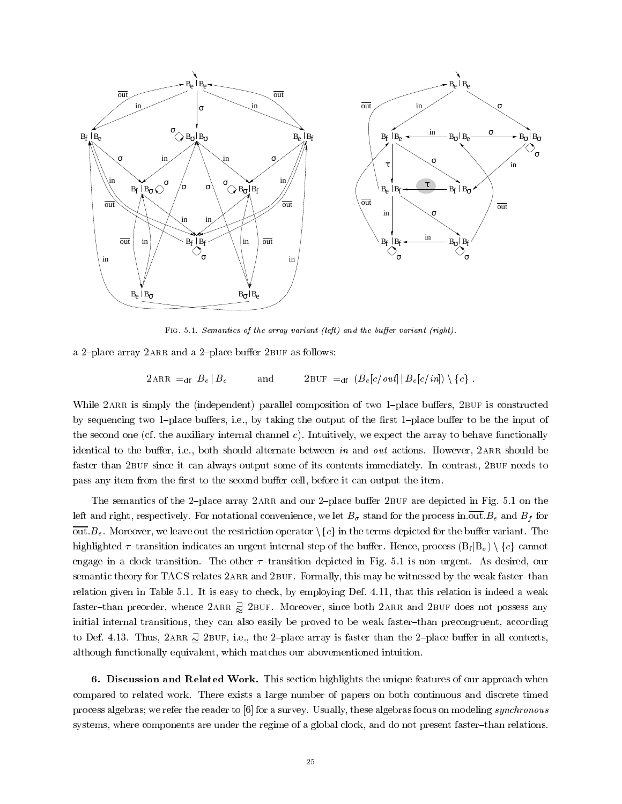

FIG. 5.1. Semantics of the array variant (left) and the buffer variant (right).

a 2-place array 2ARR and a 2-place buffer 2BUF as follows:

2ARR  $=_{df}$   $B_e | B_e$  and 2BUF  $=_{df}$   $(B_e[c/out] | B_e[c/in]) \setminus \{c\}$ .

While 2ARR is simply the (independent) parallel composition of two 1-place buffers, 2BUF is constructed by sequencing two 1-place buffers, i.e., by taking the output of the first 1-place buffer to be the input of the second one (cf. the auxiliary internal channel c). Intuitively, we expect the array to behave functionally identical to the buffer, i.e., both should alternate between in and out actions. However, 2ARR should be faster than 2BUF since it can always output some of its contents immediately. In contrast, 2BUF needs to pass any item from the first to the second buffer cell, before it can output the item.

The semantics of the 2-place array 2ARR and our 2-place buffer 2BUF are depicted in Fig. 5.1 on the left and right, respectively. For notational convenience, we let  $B_{\sigma}$  stand for the process in out.  $B_e$  and  $B_f$  for  $\overline{\text{out}}.B_e$ . Moreover, we leave out the restriction operator  $\setminus \{c\}$  in the terms depicted for the buffer variant. The highlighted  $\tau$ -transition indicates an urgent internal step of the buffer. Hence, process  $(B_f | B_{\sigma}) \setminus \{c\}$  cannot engage in a clock transition. The other  $\tau$ -transition depicted in Fig. 5.1 is non-urgent. As desired, our semantic theory for TACS relates 2ARR and 2BUF. Formally, this may be witnessed by the weak faster-than relation given in Table 5.1. It is easy to check, by employing Def. 4.11, that this relation is indeed a weak faster–than preorder, whence  $2$ ARR  $\frac{1}{\infty}$   $2$ BUF. Moreover, since both  $2$ ARR and  $2$ BUF does not possess any initial internal transitions, they can also easily be proved to be weak faster-than precongruent, according to Def. 4.13. Thus,  $2$ ARR  $\supseteq$   $2$ BUF, i.e., the 2-place array is faster than the 2-place buffer in all contexts, although functionally equivalent, which matches our abovementioned intuition.

6. Discussion and Related Work. This section highlights the unique features of our approach when compared to related work. There exists a large number of papers on both continuous and discrete timed process algebras; we refer the reader to [6] for a survey. Usually, these algebras focus on modeling synchronous systems, where components are under the regime of a global clock, and do not present faster-than relations.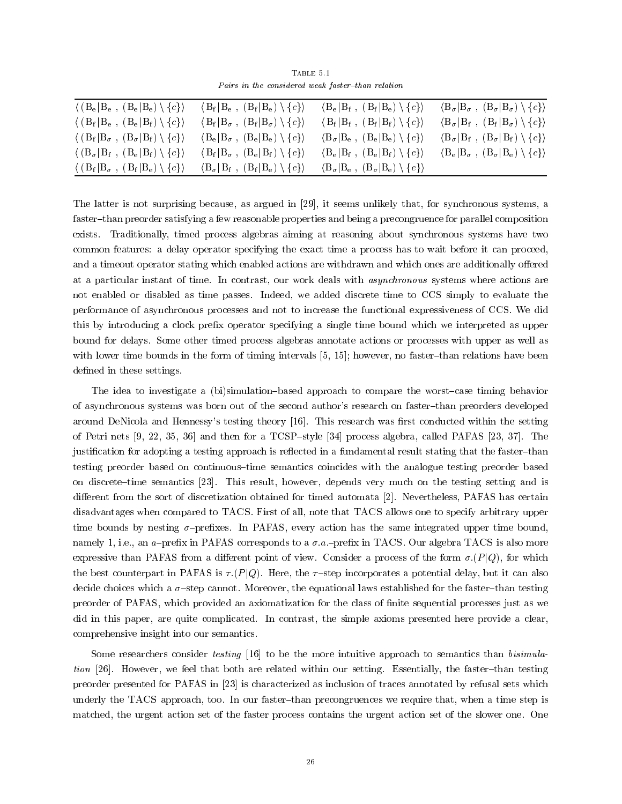TABLE 5 1 Pairs in the considered weak faster-than relation

| $\langle (B_e B_e, (B_e B_e) \setminus \{c\}\rangle$                    | $\langle B_f   B_e , (B_f   B_e) \setminus \{c\} \rangle$              | $\langle B_e   B_f, (B_f   B_e) \setminus \{c\} \rangle$                    | $\langle B_{\sigma}   B_{\sigma} , (B_{\sigma}   B_{\sigma}) \setminus \{c\} \rangle$ |
|-------------------------------------------------------------------------|------------------------------------------------------------------------|-----------------------------------------------------------------------------|---------------------------------------------------------------------------------------|
| $\langle (B_f B_e, (B_e B_f) \setminus \{c\}\rangle)$                   | $\langle B_f   B_\sigma , (B_f   B_\sigma) \setminus \{c\} \rangle$    | $\langle B_f   B_f, (B_f   B_f) \setminus \{c\}\rangle$                     | $\langle B_{\sigma}   B_{f} , (B_{f}   B_{\sigma}) \setminus \{c\} \rangle$           |
| $\langle (B_f B_\sigma, (B_\sigma B_f) \setminus \{c\}\rangle)$         | $\langle B_e   B_\sigma , (B_e   B_e) \setminus \{c\} \rangle$         | $\langle B_{\sigma}   B_{e} , (B_{e}   B_{e}) \setminus \{c\} \rangle$      | $\langle B_{\sigma}   B_{f} , (B_{\sigma}   B_{f}) \setminus \{c\} \rangle$           |
| $\langle (B_{\sigma}   B_{f} , (B_{e}   B_{f}) \setminus \{c\} \rangle$ | $\langle B_f   B_{\sigma} , (B_e   B_f) \setminus \{c\} \rangle$       | $\langle B_e   B_f, (B_e   B_f) \setminus \{c\} \rangle$                    | $\langle B_e   B_\sigma , (B_\sigma   B_e) \setminus \{c\} \rangle$                   |
| $\langle (B_f B_\sigma, (B_f B_e) \setminus \{c\}\rangle)$              | $\langle B_{\sigma}   B_{f} , (B_{f}   B_{e}) \setminus \{c\} \rangle$ | $\langle B_{\sigma}   B_{e} , (B_{\sigma}   B_{e}) \setminus \{e\} \rangle$ |                                                                                       |

The latter is not surprising because, as argued in [29], it seems unlikely that, for synchronous systems, a faster-than preorder satisfying a few reasonable properties and being a precongruence for parallel composition exists. Traditionally, timed process algebras aiming at reasoning about synchronous systems have two common features: a delay operator specifying the exact time a process has to wait before it can proceed, and a timeout operator stating which enabled actions are withdrawn and which ones are additionally offered at a particular instant of time. In contrast, our work deals with asynchronous systems where actions are not enabled or disabled as time passes. Indeed, we added discrete time to CCS simply to evaluate the performance of asynchronous processes and not to increase the functional expressiveness of CCS. We did this by introducing a clock prex operator specifying a single time bound which we interpreted as upper bound for delays. Some other timed process algebras annotate actions or processes with upper as well as with lower time bounds in the form of timing intervals  $[5, 15]$ ; however, no faster-than relations have been defined in these settings.

The idea to investigate a (bi)simulation-based approach to compare the worst-case timing behavior of asynchronous systems was born out of the second author's research on faster{than preorders developed around DeNicola and Hennessy's testing theory [16]. This research was first conducted within the setting of Petri nets  $[9, 22, 35, 36]$  and then for a TCSP-style  $[34]$  process algebra, called PAFAS [23, 37]. The justification for adopting a testing approach is reflected in a fundamental result stating that the faster-than testing preorder based on continuous—time semantics coincides with the analogue testing preorder based on discrete-time semantics [23]. This result, however, depends very much on the testing setting and is different from the sort of discretization obtained for timed automata [2]. Nevertheless, PAFAS has certain disadvantages when compared to TACS. First of all, note that TACS allows one to specify arbitrary upper time bounds by nesting  $\sigma$ -prefixes. In PAFAS, every action has the same integrated upper time bound, namely 1, i.e., an a-prefix in PAFAS corresponds to a  $\sigma.a.$ -prefix in TACS. Our algebra TACS is also more expressive than PAFAS from a different point of view. Consider a process of the form  $\sigma.(P|Q)$ , for which the best counterpart in PAFAS is  $\tau.(P|Q)$ . Here, the  $\tau$ -step incorporates a potential delay, but it can also decide choices which a  ${\sigma}$ -step cannot. Moreover, the equational laws established for the faster-than testing preorder of PAFAS, which provided an axiomatization for the class of nite sequential processes just as we did in this paper, are quite complicated. In contrast, the simple axioms presented here provide a clear, comprehensive insight into our semantics.

Some researchers consider testing [16] to be the more intuitive approach to semantics than bisimulation [26]. However, we feel that both are related within our setting. Essentially, the faster-than testing preorder presented for PAFAS in [23] is characterized as inclusion of traces annotated by refusal sets which underly the TACS approach, too. In our faster-than precongruences we require that, when a time step is matched, the urgent action set of the faster process contains the urgent action set of the slower one. One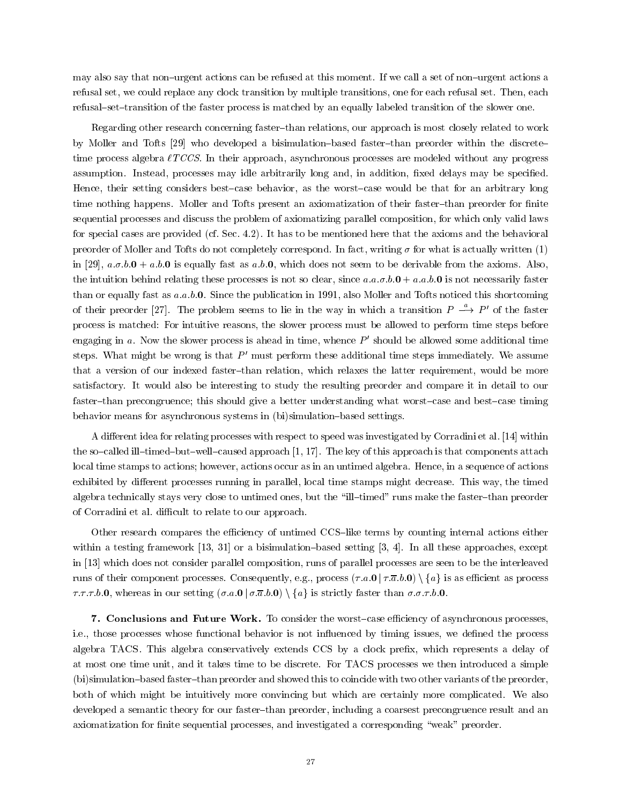may also say that non-urgent actions can be refused at this moment. If we call a set of non-urgent actions a refusal set, we could replace any clock transition by multiple transitions, one for each refusal set. Then, each refusal—set—transition of the faster process is matched by an equally labeled transition of the slower one.

Regarding other research concerning faster-than relations, our approach is most closely related to work by Moller and Tofts [29] who developed a bisimulation-based faster-than preorder within the discretetime process algebra  $\ell TCCS$ . In their approach, asynchronous processes are modeled without any progress assumption. Instead, processes may idle arbitrarily long and, in addition, fixed delays may be specified. Hence, their setting considers best-case behavior, as the worst-case would be that for an arbitrary long time nothing happens. Moller and Tofts present an axiomatization of their faster-than preorder for finite sequential processes and discuss the problem of axiomatizing parallel composition, for which only valid laws for special cases are provided (cf. Sec. 4.2). It has to be mentioned here that the axioms and the behavioral preorder of Moller and Tofts do not completely correspond. In fact, writing  $\sigma$  for what is actually written (1) in [29],  $a.\sigma.b.0 + a.b.0$  is equally fast as  $a.b.0$ , which does not seem to be derivable from the axioms. Also, the intuition behind relating these processes is not so clear, since  $a.a.\sigma.b.0 + a.a.b.0$  is not necessarily faster than or equally fast as  $a.a.b.0$ . Since the publication in 1991, also Moller and Tofts noticed this shortcoming of their preorder [27]. The problem seems to lie in the way in which a transition  $P \stackrel{\alpha}{\longrightarrow} P'$  of the faster process is matched: For intuitive reasons, the slower process must be allowed to perform time steps before engaging in a. Now the slower process is ahead in time, whence  $P'$  should be allowed some additional time steps. What might be wrong is that  $P'$  must perform these additional time steps immediately. We assume that a version of our indexed faster-than relation, which relaxes the latter requirement, would be more satisfactory. It would also be interesting to study the resulting preorder and compare it in detail to our faster-than precongruence; this should give a better understanding what worst-case and best-case timing behavior means for asynchronous systems in (bi)simulation-based settings.

A different idea for relating processes with respect to speed was investigated by Corradini et al. [14] within the so-called ill-timed-but-well-caused approach  $[1, 17]$ . The key of this approach is that components attach local time stamps to actions; however, actions occur as in an untimed algebra. Hence, in a sequence of actions exhibited by different processes running in parallel, local time stamps might decrease. This way, the timed algebra technically stays very close to untimed ones, but the "ill-timed" runs make the faster-than preorder of Corradini et al. difficult to relate to our approach.

Other research compares the efficiency of untimed CCS-like terms by counting internal actions either within a testing framework  $[13, 31]$  or a bisimulation-based setting  $[3, 4]$ . In all these approaches, except in [13] which does not consider parallel composition, runs of parallel processes are seen to be the interleaved runs of their component processes. Consequently, e.g., process  $(\tau.a.0 | \tau.\overline{a}.b.0) \setminus \{a\}$  is as efficient as process  $\tau, \tau, \tau, b.0$ , whereas in our setting  $(\sigma.a.0 \mid \sigma.\overline{a}.b.0) \setminus \{a\}$  is strictly faster than  $\sigma.\sigma.\tau.b.0$ .

7. Conclusions and Future Work. To consider the worst-case efficiency of asynchronous processes, i.e., those processes whose functional behavior is not influenced by timing issues, we defined the process algebra TACS. This algebra conservatively extends CCS by a clock prefix, which represents a delay of at most one time unit, and it takes time to be discrete. For TACS processes we then introduced a simple (bi)simulation-based faster-than preorder and showed this to coincide with two other variants of the preorder, both of which might be intuitively more convincing but which are certainly more complicated. We also developed a semantic theory for our faster-than preorder, including a coarsest precongruence result and an axiomatization for finite sequential processes, and investigated a corresponding "weak" preorder.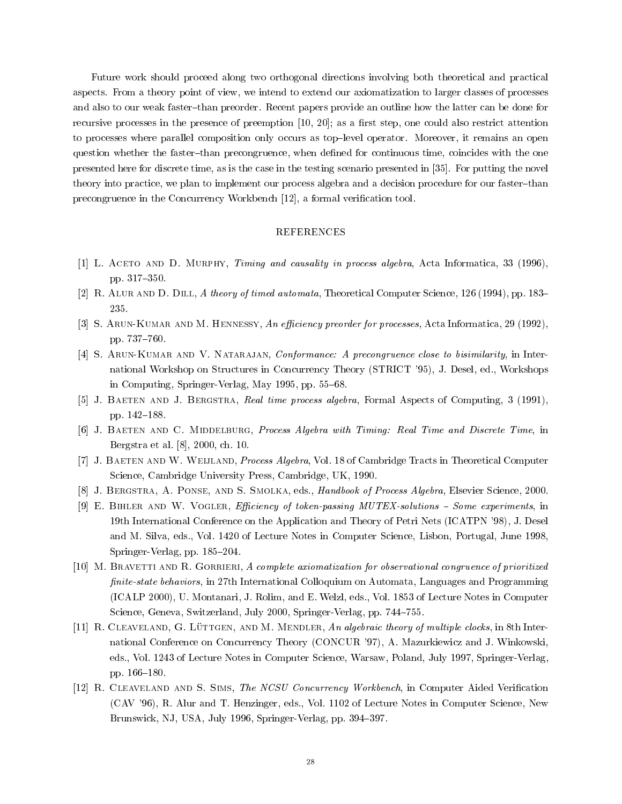Future work should proceed along two orthogonal directions involving both theoretical and practical aspects. From a theory point of view, we intend to extend our axiomatization to larger classes of processes and also to our weak faster-than preorder. Recent papers provide an outline how the latter can be done for recursive processes in the presence of preemption [10, 20]; as a first step, one could also restrict attention to processes where parallel composition only occurs as top{level operator. Moreover, it remains an open question whether the faster-than precongruence, when defined for continuous time, coincides with the one presented here for discrete time, as is the case in the testing scenario presented in [35]. For putting the novel theory into practice, we plan to implement our process algebra and a decision procedure for our faster-than precongruence in the Concurrency Workbench [12], a formal verication tool.

#### REFERENCES

- [1] L. ACETO AND D. MURPHY, Timing and causality in process algebra, Acta Informatica, 33 (1996), pp. 317-350.
- [2] R. ALUR AND D. DILL, A theory of timed automata, Theoretical Computer Science, 126 (1994), pp. 183–
- [3] S. ARUN-KUMAR AND M. HENNESSY, An efficiency preorder for processes, Acta Informatica, 29 (1992), pp. 737-760.
- [4] S. ARUN-KUMAR AND V. NATARAJAN, *Conformance: A precongruence close to bisimilarity*, in International Workshop on Structures in Concurrency Theory (STRICT '95), J. Desel, ed., Workshops in Computing, Springer-Verlag, May 1995, pp. 55-68.
- [5] J. BAETEN AND J. BERGSTRA, Real time process algebra, Formal Aspects of Computing, 3 (1991), pp. 142-188.
- [6] J. BAETEN AND C. MIDDELBURG, Process Algebra with Timing: Real Time and Discrete Time, in Bergstra et al. [8], 2000, ch. 10.
- [7] J. Baeten and W. Weijland, Process Algebra, Vol. 18 of Cambridge Tracts in Theoretical Computer Science, Cambridge University Press, Cambridge, UK, 1990.
- [8] J. Bergstra, A. Ponse, and S. Smolka, eds., Handbook of Process Algebra, Elsevier Science, 2000.
- [9] E. BIHLER AND W. VOGLER, Efficiency of token-passing MUTEX-solutions  $-$  Some experiments, in 19th International Conference on the Application and Theory of Petri Nets (ICATPN '98), J. Desel and M. Silva, eds., Vol. 1420 of Lecture Notes in Computer Science, Lisbon, Portugal, June 1998, Springer-Verlag, pp. 185-204.
- [10] M. BRAVETTI AND R. GORRIERI, A complete axiomatization for observational congruence of prioritized finite-state behaviors, in 27th International Colloquium on Automata, Languages and Programming (ICALP 2000), U. Montanari, J. Rolim, and E. Welzl, eds., Vol. 1853 of Lecture Notes in Computer Science, Geneva, Switzerland, July 2000, Springer-Verlag, pp. 744-755.
- [11] R. CLEAVELAND, G. LÜTTGEN, AND M. MENDLER, An algebraic theory of multiple clocks, in 8th International Conference on Concurrency Theory (CONCUR '97), A. Mazurkiewicz and J. Winkowski, eds., Vol. 1243 of Lecture Notes in Computer Science, Warsaw, Poland, July 1997, Springer-Verlag, pp. 166-180.
- [12] R. CLEAVELAND AND S. SIMS, The NCSU Concurrency Workbench, in Computer Aided Verification (CAV '96), R. Alur and T. Henzinger, eds., Vol. 1102 of Lecture Notes in Computer Science, New Brunswick, NJ, USA, July 1996, Springer-Verlag, pp. 394-397.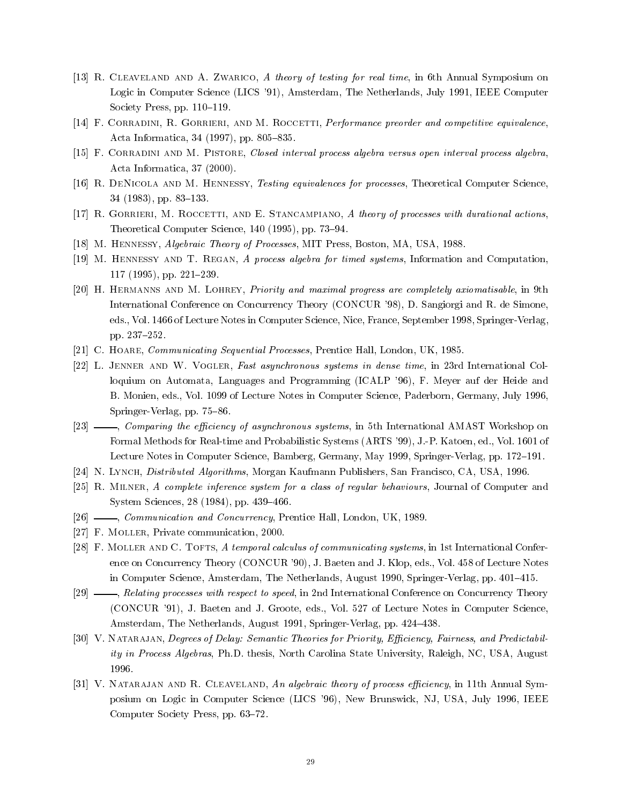- [13] R. Cleaveland and A. Zwarico, A theory of testing for real time, in 6th Annual Symposium on Logic in Computer Science (LICS '91), Amsterdam, The Netherlands, July 1991, IEEE Computer Society Press, pp.  $110–119$ .
- [14] F. CORRADINI, R. GORRIERI, AND M. ROCCETTI, Performance preorder and competitive equivalence, Acta Informatica, 34 (1997), pp. 805-835.
- [15] F. Corradini and M. Pistore, Closed interval process algebra versus open interval process algebra, Acta Informatica, 37 (2000).
- [16] R. DENICOLA AND M. HENNESSY, Testing equivalences for processes, Theoretical Computer Science,  $34$  (1983), pp. 83–133.
- [17] R. GORRIERI, M. ROCCETTI, AND E. STANCAMPIANO, A theory of processes with durational actions, Theoretical Computer Science, 140 (1995), pp. 73-94.
- [18] M. Hennessy, Algebraic Theory of Processes, MIT Press, Boston, MA, USA, 1988.
- [19] M. Hennessy and T. Regan, A process algebra for timed systems, Information and Computation,  $117$  (1995), pp. 221-239.
- [20] H. Hermanns and M. Lohrey, Priority and maximal progress are completely axiomatisable, in 9th International Conference on Concurrency Theory (CONCUR '98), D. Sangiorgi and R. de Simone, eds., Vol. 1466 of Lecture Notes in Computer Science, Nice, France, September 1998, Springer-Verlag, pp. 237-252.
- [21] C. HOARE, *Communicating Sequential Processes*, Prentice Hall, London, UK, 1985.
- [22] L. Jenner and W. Vogler, Fast asynchronous systems in dense time, in 23rd International Colloquium on Automata, Languages and Programming (ICALP '96), F. Meyer auf der Heide and B. Monien, eds., Vol. 1099 of Lecture Notes in Computer Science, Paderborn, Germany, July 1996, Springer-Verlag, pp. 75-86.
- [23]  $\_\_\_\_\_\_\_\_\_\_\_\_\_\_\_\_\_\_\_\_\_\_\_\.\_$ Formal Methods for Real-time and Probabilistic Systems (ARTS '99), J.-P. Katoen, ed., Vol. 1601 of Lecture Notes in Computer Science, Bamberg, Germany, May 1999, Springer-Verlag, pp. 172–191.
- [24] N. Lynch, *Distributed Algorithms*, Morgan Kaufmann Publishers, San Francisco, CA, USA, 1996.
- [25] R. Milner, A complete inference system for a class of regular behaviours, Journal of Computer and System Sciences, 28 (1984), pp. 439-466.
- [26]  $\_\_\_\_\_\_\_\_\_\_\_\_\_\_\_\_\_\_\_\_\_\_\_\_\_\_\_\_\_\_\_\.\_2$  Prentice Hall, London, UK, 1989.
- [27] F. MOLLER, Private communication, 2000.
- [28] F. MOLLER AND C. TOFTS, A temporal calculus of communicating systems, in 1st International Conference on Concurrency Theory (CONCUR '90), J. Baeten and J. Klop, eds., Vol. 458 of Lecture Notes in Computer Science, Amsterdam, The Netherlands, August 1990, Springer-Verlag, pp. 401–415.
- [29] \_\_\_\_, Relating processes with respect to speed, in 2nd International Conference on Concurrency Theory (CONCUR '91), J. Baeten and J. Groote, eds., Vol. 527 of Lecture Notes in Computer Science, Amsterdam, The Netherlands, August 1991, Springer-Verlag, pp. 424-438.
- [30] V. NATARAJAN, Degrees of Delay: Semantic Theories for Priority, Efficiency, Fairness, and Predictability in Process Algebras, Ph.D. thesis, North Carolina State University, Raleigh, NC, USA, August 1996.
- [31] V. NATARAJAN AND R. CLEAVELAND, An algebraic theory of process efficiency, in 11th Annual Symposium on Logic in Computer Science (LICS '96), New Brunswick, NJ, USA, July 1996, IEEE Computer Society Press, pp. 63-72.